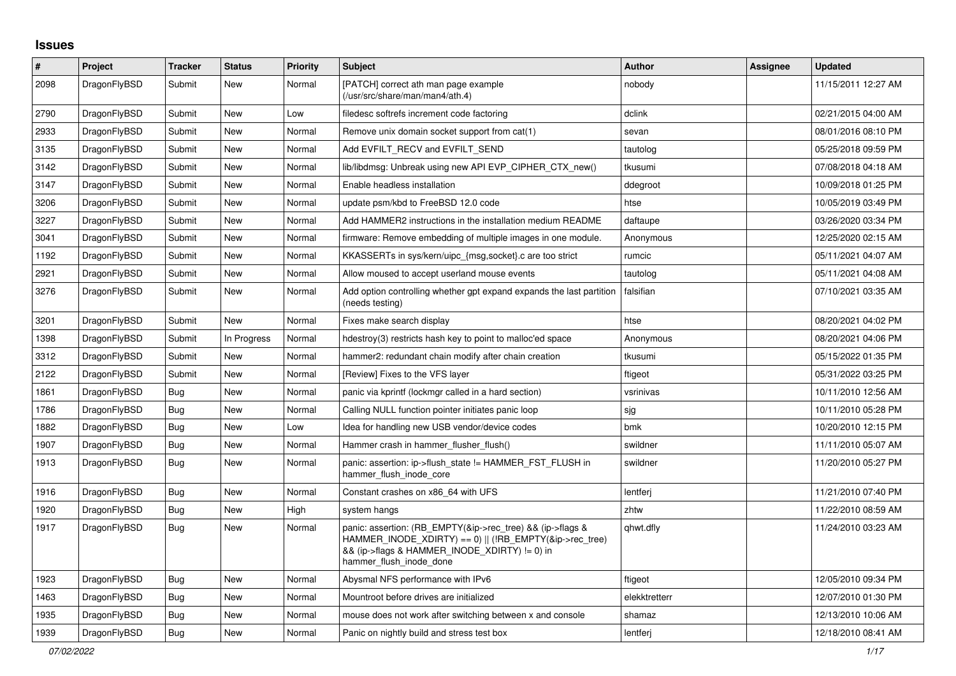## **Issues**

| $\vert$ # | Project      | <b>Tracker</b> | <b>Status</b> | <b>Priority</b> | <b>Subject</b>                                                                                                                                                                                    | <b>Author</b> | Assignee | <b>Updated</b>      |
|-----------|--------------|----------------|---------------|-----------------|---------------------------------------------------------------------------------------------------------------------------------------------------------------------------------------------------|---------------|----------|---------------------|
| 2098      | DragonFlyBSD | Submit         | New           | Normal          | [PATCH] correct ath man page example<br>(/usr/src/share/man/man4/ath.4)                                                                                                                           | nobody        |          | 11/15/2011 12:27 AM |
| 2790      | DragonFlyBSD | Submit         | <b>New</b>    | Low             | filedesc softrefs increment code factoring                                                                                                                                                        | dclink        |          | 02/21/2015 04:00 AM |
| 2933      | DragonFlyBSD | Submit         | New           | Normal          | Remove unix domain socket support from cat(1)                                                                                                                                                     | sevan         |          | 08/01/2016 08:10 PM |
| 3135      | DragonFlyBSD | Submit         | <b>New</b>    | Normal          | Add EVFILT_RECV and EVFILT_SEND                                                                                                                                                                   | tautolog      |          | 05/25/2018 09:59 PM |
| 3142      | DragonFlyBSD | Submit         | <b>New</b>    | Normal          | lib/libdmsg: Unbreak using new API EVP CIPHER CTX new()                                                                                                                                           | tkusumi       |          | 07/08/2018 04:18 AM |
| 3147      | DragonFlyBSD | Submit         | <b>New</b>    | Normal          | Enable headless installation                                                                                                                                                                      | ddegroot      |          | 10/09/2018 01:25 PM |
| 3206      | DragonFlyBSD | Submit         | <b>New</b>    | Normal          | update psm/kbd to FreeBSD 12.0 code                                                                                                                                                               | htse          |          | 10/05/2019 03:49 PM |
| 3227      | DragonFlyBSD | Submit         | <b>New</b>    | Normal          | Add HAMMER2 instructions in the installation medium README                                                                                                                                        | daftaupe      |          | 03/26/2020 03:34 PM |
| 3041      | DragonFlyBSD | Submit         | <b>New</b>    | Normal          | firmware: Remove embedding of multiple images in one module.                                                                                                                                      | Anonymous     |          | 12/25/2020 02:15 AM |
| 1192      | DragonFlyBSD | Submit         | <b>New</b>    | Normal          | KKASSERTs in sys/kern/uipc {msg,socket}.c are too strict                                                                                                                                          | rumcic        |          | 05/11/2021 04:07 AM |
| 2921      | DragonFlyBSD | Submit         | <b>New</b>    | Normal          | Allow moused to accept userland mouse events                                                                                                                                                      | tautolog      |          | 05/11/2021 04:08 AM |
| 3276      | DragonFlyBSD | Submit         | New           | Normal          | Add option controlling whether gpt expand expands the last partition<br>(needs testing)                                                                                                           | falsifian     |          | 07/10/2021 03:35 AM |
| 3201      | DragonFlyBSD | Submit         | <b>New</b>    | Normal          | Fixes make search display                                                                                                                                                                         | htse          |          | 08/20/2021 04:02 PM |
| 1398      | DragonFlyBSD | Submit         | In Progress   | Normal          | hdestroy(3) restricts hash key to point to malloc'ed space                                                                                                                                        | Anonymous     |          | 08/20/2021 04:06 PM |
| 3312      | DragonFlyBSD | Submit         | New           | Normal          | hammer2: redundant chain modify after chain creation                                                                                                                                              | tkusumi       |          | 05/15/2022 01:35 PM |
| 2122      | DragonFlyBSD | Submit         | <b>New</b>    | Normal          | [Review] Fixes to the VFS layer                                                                                                                                                                   | ftigeot       |          | 05/31/2022 03:25 PM |
| 1861      | DragonFlyBSD | Bug            | <b>New</b>    | Normal          | panic via kprintf (lockmgr called in a hard section)                                                                                                                                              | vsrinivas     |          | 10/11/2010 12:56 AM |
| 1786      | DragonFlyBSD | Bug            | New           | Normal          | Calling NULL function pointer initiates panic loop                                                                                                                                                | sjg           |          | 10/11/2010 05:28 PM |
| 1882      | DragonFlyBSD | <b>Bug</b>     | New           | Low             | Idea for handling new USB vendor/device codes                                                                                                                                                     | bmk           |          | 10/20/2010 12:15 PM |
| 1907      | DragonFlyBSD | Bug            | <b>New</b>    | Normal          | Hammer crash in hammer flusher flush()                                                                                                                                                            | swildner      |          | 11/11/2010 05:07 AM |
| 1913      | DragonFlyBSD | Bug            | <b>New</b>    | Normal          | panic: assertion: ip->flush state != HAMMER FST FLUSH in<br>hammer flush inode core                                                                                                               | swildner      |          | 11/20/2010 05:27 PM |
| 1916      | DragonFlyBSD | Bug            | <b>New</b>    | Normal          | Constant crashes on x86 64 with UFS                                                                                                                                                               | lentferj      |          | 11/21/2010 07:40 PM |
| 1920      | DragonFlyBSD | Bug            | <b>New</b>    | High            | system hangs                                                                                                                                                                                      | zhtw          |          | 11/22/2010 08:59 AM |
| 1917      | DragonFlyBSD | <b>Bug</b>     | <b>New</b>    | Normal          | panic: assertion: (RB_EMPTY(&ip->rec_tree) && (ip->flags &<br>HAMMER_INODE_XDIRTY) == 0)    (!RB_EMPTY(&ip->rec_tree)<br>&& (ip->flags & HAMMER INODE XDIRTY) != 0) in<br>hammer_flush_inode_done | qhwt.dfly     |          | 11/24/2010 03:23 AM |
| 1923      | DragonFlyBSD | <b>Bug</b>     | <b>New</b>    | Normal          | Abysmal NFS performance with IPv6                                                                                                                                                                 | ftigeot       |          | 12/05/2010 09:34 PM |
| 1463      | DragonFlyBSD | <b>Bug</b>     | New           | Normal          | Mountroot before drives are initialized                                                                                                                                                           | elekktretterr |          | 12/07/2010 01:30 PM |
| 1935      | DragonFlyBSD | Bug            | <b>New</b>    | Normal          | mouse does not work after switching between x and console                                                                                                                                         | shamaz        |          | 12/13/2010 10:06 AM |
| 1939      | DragonFlyBSD | Bug            | <b>New</b>    | Normal          | Panic on nightly build and stress test box                                                                                                                                                        | lentferj      |          | 12/18/2010 08:41 AM |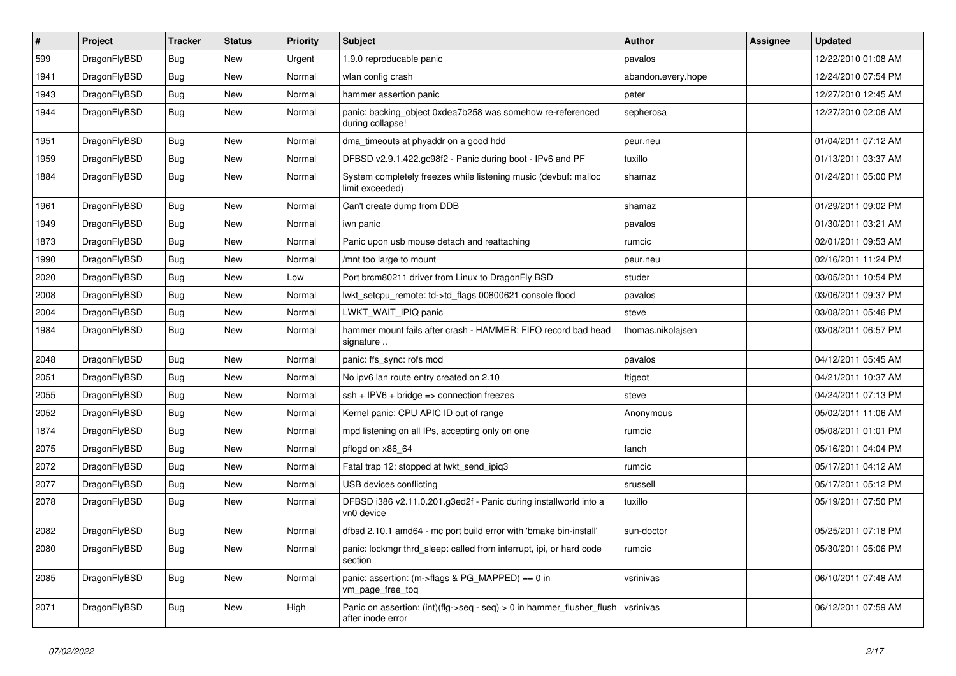| $\vert$ # | Project      | <b>Tracker</b> | <b>Status</b> | <b>Priority</b> | <b>Subject</b>                                                                             | <b>Author</b>      | Assignee | <b>Updated</b>      |
|-----------|--------------|----------------|---------------|-----------------|--------------------------------------------------------------------------------------------|--------------------|----------|---------------------|
| 599       | DragonFlyBSD | Bug            | <b>New</b>    | Urgent          | 1.9.0 reproducable panic                                                                   | pavalos            |          | 12/22/2010 01:08 AM |
| 1941      | DragonFlyBSD | <b>Bug</b>     | <b>New</b>    | Normal          | wlan config crash                                                                          | abandon.every.hope |          | 12/24/2010 07:54 PM |
| 1943      | DragonFlyBSD | <b>Bug</b>     | <b>New</b>    | Normal          | hammer assertion panic                                                                     | peter              |          | 12/27/2010 12:45 AM |
| 1944      | DragonFlyBSD | Bug            | New           | Normal          | panic: backing_object 0xdea7b258 was somehow re-referenced<br>during collapse!             | sepherosa          |          | 12/27/2010 02:06 AM |
| 1951      | DragonFlyBSD | <b>Bug</b>     | <b>New</b>    | Normal          | dma timeouts at phyaddr on a good hdd                                                      | peur.neu           |          | 01/04/2011 07:12 AM |
| 1959      | DragonFlyBSD | Bug            | <b>New</b>    | Normal          | DFBSD v2.9.1.422.gc98f2 - Panic during boot - IPv6 and PF                                  | tuxillo            |          | 01/13/2011 03:37 AM |
| 1884      | DragonFlyBSD | Bug            | New           | Normal          | System completely freezes while listening music (devbuf: malloc<br>limit exceeded)         | shamaz             |          | 01/24/2011 05:00 PM |
| 1961      | DragonFlyBSD | <b>Bug</b>     | <b>New</b>    | Normal          | Can't create dump from DDB                                                                 | shamaz             |          | 01/29/2011 09:02 PM |
| 1949      | DragonFlyBSD | <b>Bug</b>     | <b>New</b>    | Normal          | iwn panic                                                                                  | pavalos            |          | 01/30/2011 03:21 AM |
| 1873      | DragonFlyBSD | Bug            | New           | Normal          | Panic upon usb mouse detach and reattaching                                                | rumcic             |          | 02/01/2011 09:53 AM |
| 1990      | DragonFlyBSD | <b>Bug</b>     | <b>New</b>    | Normal          | /mnt too large to mount                                                                    | peur.neu           |          | 02/16/2011 11:24 PM |
| 2020      | DragonFlyBSD | <b>Bug</b>     | <b>New</b>    | Low             | Port brcm80211 driver from Linux to DragonFly BSD                                          | studer             |          | 03/05/2011 10:54 PM |
| 2008      | DragonFlyBSD | Bug            | <b>New</b>    | Normal          | lwkt_setcpu_remote: td->td_flags 00800621 console flood                                    | pavalos            |          | 03/06/2011 09:37 PM |
| 2004      | DragonFlyBSD | <b>Bug</b>     | <b>New</b>    | Normal          | LWKT_WAIT_IPIQ panic                                                                       | steve              |          | 03/08/2011 05:46 PM |
| 1984      | DragonFlyBSD | Bug            | <b>New</b>    | Normal          | hammer mount fails after crash - HAMMER: FIFO record bad head<br>signature                 | thomas.nikolajsen  |          | 03/08/2011 06:57 PM |
| 2048      | DragonFlyBSD | <b>Bug</b>     | <b>New</b>    | Normal          | panic: ffs sync: rofs mod                                                                  | pavalos            |          | 04/12/2011 05:45 AM |
| 2051      | DragonFlyBSD | Bug            | <b>New</b>    | Normal          | No ipv6 lan route entry created on 2.10                                                    | ftigeot            |          | 04/21/2011 10:37 AM |
| 2055      | DragonFlyBSD | <b>Bug</b>     | <b>New</b>    | Normal          | $ssh + IPV6 + bridge \Rightarrow connection freezes$                                       | steve              |          | 04/24/2011 07:13 PM |
| 2052      | DragonFlyBSD | <b>Bug</b>     | <b>New</b>    | Normal          | Kernel panic: CPU APIC ID out of range                                                     | Anonymous          |          | 05/02/2011 11:06 AM |
| 1874      | DragonFlyBSD | <b>Bug</b>     | <b>New</b>    | Normal          | mpd listening on all IPs, accepting only on one                                            | rumcic             |          | 05/08/2011 01:01 PM |
| 2075      | DragonFlyBSD | <b>Bug</b>     | <b>New</b>    | Normal          | pflogd on x86 64                                                                           | fanch              |          | 05/16/2011 04:04 PM |
| 2072      | DragonFlyBSD | <b>Bug</b>     | <b>New</b>    | Normal          | Fatal trap 12: stopped at lwkt_send_ipiq3                                                  | rumcic             |          | 05/17/2011 04:12 AM |
| 2077      | DragonFlyBSD | <b>Bug</b>     | <b>New</b>    | Normal          | USB devices conflicting                                                                    | srussell           |          | 05/17/2011 05:12 PM |
| 2078      | DragonFlyBSD | Bug            | New           | Normal          | DFBSD i386 v2.11.0.201.g3ed2f - Panic during installworld into a<br>vn0 device             | tuxillo            |          | 05/19/2011 07:50 PM |
| 2082      | DragonFlyBSD | <b>Bug</b>     | <b>New</b>    | Normal          | dfbsd 2.10.1 amd64 - mc port build error with 'bmake bin-install'                          | sun-doctor         |          | 05/25/2011 07:18 PM |
| 2080      | DragonFlyBSD | <b>Bug</b>     | New           | Normal          | panic: lockmgr thrd_sleep: called from interrupt, ipi, or hard code<br>section             | rumcic             |          | 05/30/2011 05:06 PM |
| 2085      | DragonFlyBSD | Bug            | New           | Normal          | panic: assertion: $(m\text{-}$ sflags & PG_MAPPED) == 0 in<br>vm_page_free_toq             | vsrinivas          |          | 06/10/2011 07:48 AM |
| 2071      | DragonFlyBSD | <b>Bug</b>     | New           | High            | Panic on assertion: (int)(flg->seq - seq) > 0 in hammer_flusher_flush<br>after inode error | vsrinivas          |          | 06/12/2011 07:59 AM |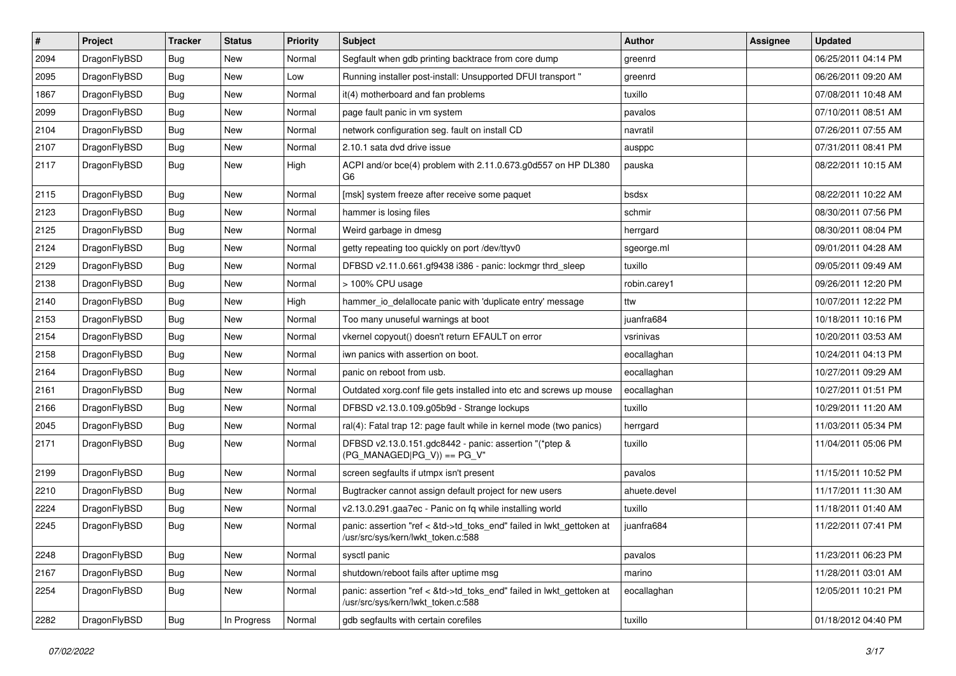| $\sharp$ | Project      | <b>Tracker</b> | <b>Status</b> | <b>Priority</b> | Subject                                                                                                    | <b>Author</b> | Assignee | <b>Updated</b>      |
|----------|--------------|----------------|---------------|-----------------|------------------------------------------------------------------------------------------------------------|---------------|----------|---------------------|
| 2094     | DragonFlyBSD | <b>Bug</b>     | New           | Normal          | Segfault when gdb printing backtrace from core dump                                                        | greenrd       |          | 06/25/2011 04:14 PM |
| 2095     | DragonFlyBSD | Bug            | <b>New</b>    | Low             | Running installer post-install: Unsupported DFUI transport "                                               | greenrd       |          | 06/26/2011 09:20 AM |
| 1867     | DragonFlyBSD | Bug            | New           | Normal          | it(4) motherboard and fan problems                                                                         | tuxillo       |          | 07/08/2011 10:48 AM |
| 2099     | DragonFlyBSD | Bug            | <b>New</b>    | Normal          | page fault panic in vm system                                                                              | pavalos       |          | 07/10/2011 08:51 AM |
| 2104     | DragonFlyBSD | <b>Bug</b>     | New           | Normal          | network configuration seg. fault on install CD                                                             | navratil      |          | 07/26/2011 07:55 AM |
| 2107     | DragonFlyBSD | <b>Bug</b>     | <b>New</b>    | Normal          | 2.10.1 sata dvd drive issue                                                                                | ausppc        |          | 07/31/2011 08:41 PM |
| 2117     | DragonFlyBSD | <b>Bug</b>     | New           | High            | ACPI and/or bce(4) problem with 2.11.0.673.g0d557 on HP DL380<br>G6                                        | pauska        |          | 08/22/2011 10:15 AM |
| 2115     | DragonFlyBSD | <b>Bug</b>     | New           | Normal          | [msk] system freeze after receive some paquet                                                              | bsdsx         |          | 08/22/2011 10:22 AM |
| 2123     | DragonFlyBSD | Bug            | <b>New</b>    | Normal          | hammer is losing files                                                                                     | schmir        |          | 08/30/2011 07:56 PM |
| 2125     | DragonFlyBSD | Bug            | New           | Normal          | Weird garbage in dmesg                                                                                     | herrgard      |          | 08/30/2011 08:04 PM |
| 2124     | DragonFlyBSD | Bug            | New           | Normal          | getty repeating too quickly on port /dev/ttyv0                                                             | sgeorge.ml    |          | 09/01/2011 04:28 AM |
| 2129     | DragonFlyBSD | <b>Bug</b>     | New           | Normal          | DFBSD v2.11.0.661.gf9438 i386 - panic: lockmgr thrd_sleep                                                  | tuxillo       |          | 09/05/2011 09:49 AM |
| 2138     | DragonFlyBSD | <b>Bug</b>     | <b>New</b>    | Normal          | > 100% CPU usage                                                                                           | robin.carey1  |          | 09/26/2011 12:20 PM |
| 2140     | DragonFlyBSD | <b>Bug</b>     | New           | High            | hammer_io_delallocate panic with 'duplicate entry' message                                                 | ttw           |          | 10/07/2011 12:22 PM |
| 2153     | DragonFlyBSD | <b>Bug</b>     | <b>New</b>    | Normal          | Too many unuseful warnings at boot                                                                         | juanfra684    |          | 10/18/2011 10:16 PM |
| 2154     | DragonFlyBSD | <b>Bug</b>     | New           | Normal          | vkernel copyout() doesn't return EFAULT on error                                                           | vsrinivas     |          | 10/20/2011 03:53 AM |
| 2158     | DragonFlyBSD | <b>Bug</b>     | New           | Normal          | iwn panics with assertion on boot.                                                                         | eocallaghan   |          | 10/24/2011 04:13 PM |
| 2164     | DragonFlyBSD | <b>Bug</b>     | New           | Normal          | panic on reboot from usb.                                                                                  | eocallaghan   |          | 10/27/2011 09:29 AM |
| 2161     | DragonFlyBSD | <b>Bug</b>     | <b>New</b>    | Normal          | Outdated xorg.conf file gets installed into etc and screws up mouse                                        | eocallaghan   |          | 10/27/2011 01:51 PM |
| 2166     | DragonFlyBSD | Bug            | <b>New</b>    | Normal          | DFBSD v2.13.0.109.g05b9d - Strange lockups                                                                 | tuxillo       |          | 10/29/2011 11:20 AM |
| 2045     | DragonFlyBSD | <b>Bug</b>     | New           | Normal          | ral(4): Fatal trap 12: page fault while in kernel mode (two panics)                                        | herrgard      |          | 11/03/2011 05:34 PM |
| 2171     | DragonFlyBSD | Bug            | New           | Normal          | DFBSD v2.13.0.151.gdc8442 - panic: assertion "(*ptep &<br>$(PG_MANAGED PG_V)$ == PG_V"                     | tuxillo       |          | 11/04/2011 05:06 PM |
| 2199     | DragonFlyBSD | Bug            | New           | Normal          | screen segfaults if utmpx isn't present                                                                    | pavalos       |          | 11/15/2011 10:52 PM |
| 2210     | DragonFlyBSD | <b>Bug</b>     | New           | Normal          | Bugtracker cannot assign default project for new users                                                     | ahuete.devel  |          | 11/17/2011 11:30 AM |
| 2224     | DragonFlyBSD | <b>Bug</b>     | <b>New</b>    | Normal          | v2.13.0.291.gaa7ec - Panic on fq while installing world                                                    | tuxillo       |          | 11/18/2011 01:40 AM |
| 2245     | DragonFlyBSD | Bug            | New           | Normal          | panic: assertion "ref < &td->td_toks_end" failed in lwkt_gettoken at<br>/usr/src/sys/kern/lwkt_token.c:588 | juanfra684    |          | 11/22/2011 07:41 PM |
| 2248     | DragonFlyBSD | Bug            | <b>New</b>    | Normal          | sysctl panic                                                                                               | pavalos       |          | 11/23/2011 06:23 PM |
| 2167     | DragonFlyBSD | <b>Bug</b>     | <b>New</b>    | Normal          | shutdown/reboot fails after uptime msg                                                                     | marino        |          | 11/28/2011 03:01 AM |
| 2254     | DragonFlyBSD | <b>Bug</b>     | New           | Normal          | panic: assertion "ref < &td->td toks end" failed in lwkt gettoken at<br>/usr/src/sys/kern/lwkt_token.c:588 | eocallaghan   |          | 12/05/2011 10:21 PM |
| 2282     | DragonFlyBSD | <b>Bug</b>     | In Progress   | Normal          | gdb segfaults with certain corefiles                                                                       | tuxillo       |          | 01/18/2012 04:40 PM |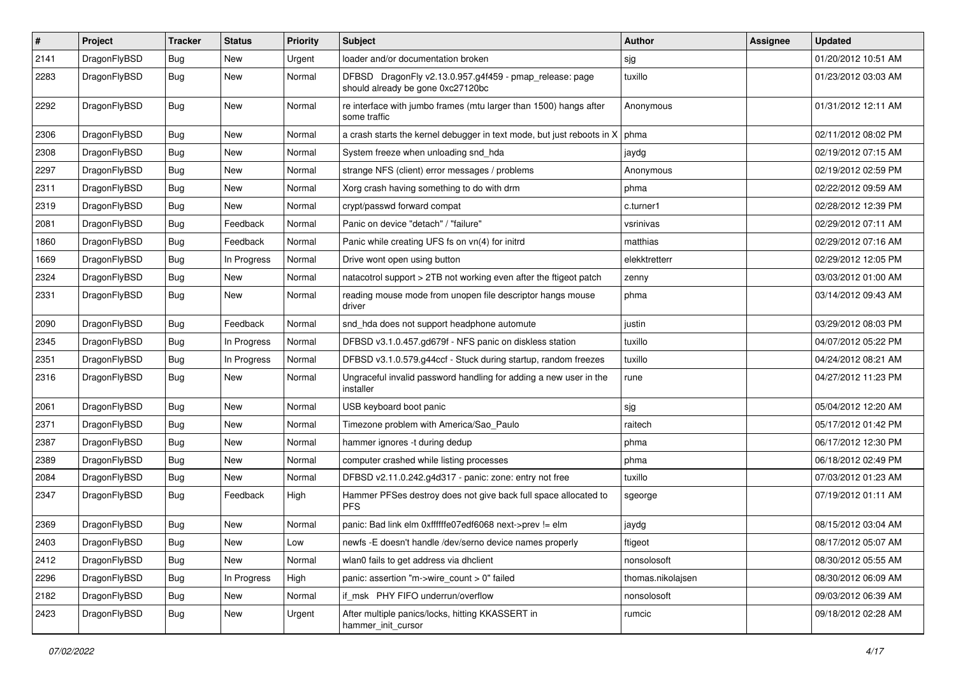| $\pmb{\#}$ | Project      | <b>Tracker</b> | <b>Status</b> | <b>Priority</b> | Subject                                                                                      | <b>Author</b>     | <b>Assignee</b> | <b>Updated</b>      |
|------------|--------------|----------------|---------------|-----------------|----------------------------------------------------------------------------------------------|-------------------|-----------------|---------------------|
| 2141       | DragonFlyBSD | <b>Bug</b>     | New           | Urgent          | loader and/or documentation broken                                                           | sjg               |                 | 01/20/2012 10:51 AM |
| 2283       | DragonFlyBSD | Bug            | <b>New</b>    | Normal          | DFBSD DragonFly v2.13.0.957.g4f459 - pmap_release: page<br>should already be gone 0xc27120bc | tuxillo           |                 | 01/23/2012 03:03 AM |
| 2292       | DragonFlyBSD | Bug            | New           | Normal          | re interface with jumbo frames (mtu larger than 1500) hangs after<br>some traffic            | Anonymous         |                 | 01/31/2012 12:11 AM |
| 2306       | DragonFlyBSD | <b>Bug</b>     | <b>New</b>    | Normal          | a crash starts the kernel debugger in text mode, but just reboots in $X \mid p$ hma          |                   |                 | 02/11/2012 08:02 PM |
| 2308       | DragonFlyBSD | Bug            | New           | Normal          | System freeze when unloading snd_hda                                                         | jaydg             |                 | 02/19/2012 07:15 AM |
| 2297       | DragonFlyBSD | Bug            | New           | Normal          | strange NFS (client) error messages / problems                                               | Anonymous         |                 | 02/19/2012 02:59 PM |
| 2311       | DragonFlyBSD | Bug            | New           | Normal          | Xorg crash having something to do with drm                                                   | phma              |                 | 02/22/2012 09:59 AM |
| 2319       | DragonFlyBSD | Bug            | New           | Normal          | crypt/passwd forward compat                                                                  | c.turner1         |                 | 02/28/2012 12:39 PM |
| 2081       | DragonFlyBSD | Bug            | Feedback      | Normal          | Panic on device "detach" / "failure"                                                         | vsrinivas         |                 | 02/29/2012 07:11 AM |
| 1860       | DragonFlyBSD | Bug            | Feedback      | Normal          | Panic while creating UFS fs on vn(4) for initrd                                              | matthias          |                 | 02/29/2012 07:16 AM |
| 1669       | DragonFlyBSD | Bug            | In Progress   | Normal          | Drive wont open using button                                                                 | elekktretterr     |                 | 02/29/2012 12:05 PM |
| 2324       | DragonFlyBSD | Bug            | <b>New</b>    | Normal          | natacotrol support > 2TB not working even after the ftigeot patch                            | zenny             |                 | 03/03/2012 01:00 AM |
| 2331       | DragonFlyBSD | Bug            | New           | Normal          | reading mouse mode from unopen file descriptor hangs mouse<br>driver                         | phma              |                 | 03/14/2012 09:43 AM |
| 2090       | DragonFlyBSD | <b>Bug</b>     | Feedback      | Normal          | snd_hda does not support headphone automute                                                  | justin            |                 | 03/29/2012 08:03 PM |
| 2345       | DragonFlyBSD | Bug            | In Progress   | Normal          | DFBSD v3.1.0.457.gd679f - NFS panic on diskless station                                      | tuxillo           |                 | 04/07/2012 05:22 PM |
| 2351       | DragonFlyBSD | Bug            | In Progress   | Normal          | DFBSD v3.1.0.579.g44ccf - Stuck during startup, random freezes                               | tuxillo           |                 | 04/24/2012 08:21 AM |
| 2316       | DragonFlyBSD | Bug            | <b>New</b>    | Normal          | Ungraceful invalid password handling for adding a new user in the<br>installer               | rune              |                 | 04/27/2012 11:23 PM |
| 2061       | DragonFlyBSD | Bug            | New           | Normal          | USB keyboard boot panic                                                                      | sjg               |                 | 05/04/2012 12:20 AM |
| 2371       | DragonFlyBSD | Bug            | New           | Normal          | Timezone problem with America/Sao_Paulo                                                      | raitech           |                 | 05/17/2012 01:42 PM |
| 2387       | DragonFlyBSD | Bug            | <b>New</b>    | Normal          | hammer ignores -t during dedup                                                               | phma              |                 | 06/17/2012 12:30 PM |
| 2389       | DragonFlyBSD | Bug            | New           | Normal          | computer crashed while listing processes                                                     | phma              |                 | 06/18/2012 02:49 PM |
| 2084       | DragonFlyBSD | <b>Bug</b>     | New           | Normal          | DFBSD v2.11.0.242.g4d317 - panic: zone: entry not free                                       | tuxillo           |                 | 07/03/2012 01:23 AM |
| 2347       | DragonFlyBSD | Bug            | Feedback      | High            | Hammer PFSes destroy does not give back full space allocated to<br><b>PFS</b>                | sgeorge           |                 | 07/19/2012 01:11 AM |
| 2369       | DragonFlyBSD | <b>Bug</b>     | New           | Normal          | panic: Bad link elm 0xffffffe07edf6068 next->prev != elm                                     | jaydg             |                 | 08/15/2012 03:04 AM |
| 2403       | DragonFlyBSD | <b>Bug</b>     | New           | LOW             | newfs -E doesn't handle /dev/serno device names properly                                     | ftigeot           |                 | 08/17/2012 05:07 AM |
| 2412       | DragonFlyBSD | Bug            | New           | Normal          | wlan0 fails to get address via dhclient                                                      | nonsolosoft       |                 | 08/30/2012 05:55 AM |
| 2296       | DragonFlyBSD | <b>Bug</b>     | In Progress   | High            | panic: assertion "m->wire_count > 0" failed                                                  | thomas.nikolajsen |                 | 08/30/2012 06:09 AM |
| 2182       | DragonFlyBSD | Bug            | New           | Normal          | if_msk PHY FIFO underrun/overflow                                                            | nonsolosoft       |                 | 09/03/2012 06:39 AM |
| 2423       | DragonFlyBSD | <b>Bug</b>     | New           | Urgent          | After multiple panics/locks, hitting KKASSERT in<br>hammer_init_cursor                       | rumcic            |                 | 09/18/2012 02:28 AM |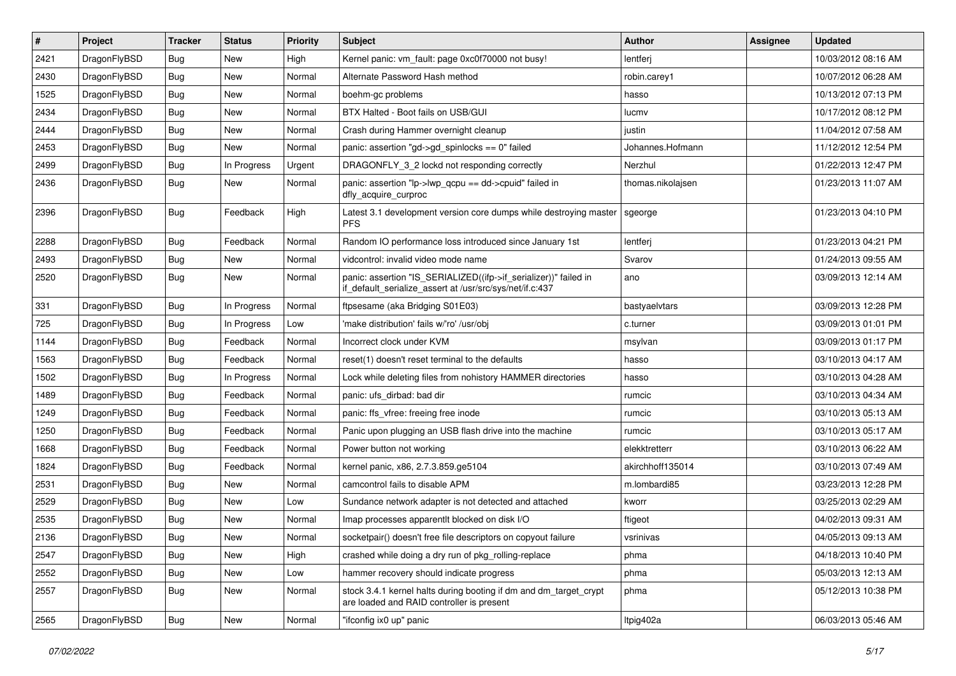| $\vert$ # | Project      | <b>Tracker</b> | <b>Status</b> | <b>Priority</b> | Subject                                                                                                                      | <b>Author</b>     | <b>Assignee</b> | <b>Updated</b>      |
|-----------|--------------|----------------|---------------|-----------------|------------------------------------------------------------------------------------------------------------------------------|-------------------|-----------------|---------------------|
| 2421      | DragonFlyBSD | <b>Bug</b>     | New           | High            | Kernel panic: vm_fault: page 0xc0f70000 not busy!                                                                            | lentferj          |                 | 10/03/2012 08:16 AM |
| 2430      | DragonFlyBSD | <b>Bug</b>     | New           | Normal          | Alternate Password Hash method                                                                                               | robin.carey1      |                 | 10/07/2012 06:28 AM |
| 1525      | DragonFlyBSD | <b>Bug</b>     | New           | Normal          | boehm-gc problems                                                                                                            | hasso             |                 | 10/13/2012 07:13 PM |
| 2434      | DragonFlyBSD | <b>Bug</b>     | New           | Normal          | BTX Halted - Boot fails on USB/GUI                                                                                           | lucmv             |                 | 10/17/2012 08:12 PM |
| 2444      | DragonFlyBSD | <b>Bug</b>     | New           | Normal          | Crash during Hammer overnight cleanup                                                                                        | justin            |                 | 11/04/2012 07:58 AM |
| 2453      | DragonFlyBSD | <b>Bug</b>     | New           | Normal          | panic: assertion "gd->gd_spinlocks == 0" failed                                                                              | Johannes.Hofmann  |                 | 11/12/2012 12:54 PM |
| 2499      | DragonFlyBSD | <b>Bug</b>     | In Progress   | Urgent          | DRAGONFLY_3_2 lockd not responding correctly                                                                                 | Nerzhul           |                 | 01/22/2013 12:47 PM |
| 2436      | DragonFlyBSD | Bug            | New           | Normal          | panic: assertion "lp->lwp_qcpu == dd->cpuid" failed in<br>dfly_acquire_curproc                                               | thomas.nikolajsen |                 | 01/23/2013 11:07 AM |
| 2396      | DragonFlyBSD | Bug            | Feedback      | High            | Latest 3.1 development version core dumps while destroying master<br><b>PFS</b>                                              | sgeorge           |                 | 01/23/2013 04:10 PM |
| 2288      | DragonFlyBSD | Bug            | Feedback      | Normal          | Random IO performance loss introduced since January 1st                                                                      | lentferj          |                 | 01/23/2013 04:21 PM |
| 2493      | DragonFlyBSD | <b>Bug</b>     | New           | Normal          | vidcontrol: invalid video mode name                                                                                          | Svarov            |                 | 01/24/2013 09:55 AM |
| 2520      | DragonFlyBSD | <b>Bug</b>     | New           | Normal          | panic: assertion "IS_SERIALIZED((ifp->if_serializer))" failed in<br>if_default_serialize_assert at /usr/src/sys/net/if.c:437 | ano               |                 | 03/09/2013 12:14 AM |
| 331       | DragonFlyBSD | <b>Bug</b>     | In Progress   | Normal          | ftpsesame (aka Bridging S01E03)                                                                                              | bastyaelvtars     |                 | 03/09/2013 12:28 PM |
| 725       | DragonFlyBSD | <b>Bug</b>     | In Progress   | Low             | 'make distribution' fails w/'ro' /usr/obi                                                                                    | c.turner          |                 | 03/09/2013 01:01 PM |
| 1144      | DragonFlyBSD | <b>Bug</b>     | Feedback      | Normal          | Incorrect clock under KVM                                                                                                    | msylvan           |                 | 03/09/2013 01:17 PM |
| 1563      | DragonFlyBSD | <b>Bug</b>     | Feedback      | Normal          | reset(1) doesn't reset terminal to the defaults                                                                              | hasso             |                 | 03/10/2013 04:17 AM |
| 1502      | DragonFlyBSD | <b>Bug</b>     | In Progress   | Normal          | Lock while deleting files from nohistory HAMMER directories                                                                  | hasso             |                 | 03/10/2013 04:28 AM |
| 1489      | DragonFlyBSD | <b>Bug</b>     | Feedback      | Normal          | panic: ufs dirbad: bad dir                                                                                                   | rumcic            |                 | 03/10/2013 04:34 AM |
| 1249      | DragonFlyBSD | <b>Bug</b>     | Feedback      | Normal          | panic: ffs vfree: freeing free inode                                                                                         | rumcic            |                 | 03/10/2013 05:13 AM |
| 1250      | DragonFlyBSD | <b>Bug</b>     | Feedback      | Normal          | Panic upon plugging an USB flash drive into the machine                                                                      | rumcic            |                 | 03/10/2013 05:17 AM |
| 1668      | DragonFlyBSD | <b>Bug</b>     | Feedback      | Normal          | Power button not working                                                                                                     | elekktretterr     |                 | 03/10/2013 06:22 AM |
| 1824      | DragonFlyBSD | <b>Bug</b>     | Feedback      | Normal          | kernel panic, x86, 2.7.3.859.ge5104                                                                                          | akirchhoff135014  |                 | 03/10/2013 07:49 AM |
| 2531      | DragonFlyBSD | <b>Bug</b>     | New           | Normal          | camcontrol fails to disable APM                                                                                              | m.lombardi85      |                 | 03/23/2013 12:28 PM |
| 2529      | DragonFlyBSD | <b>Bug</b>     | New           | Low             | Sundance network adapter is not detected and attached                                                                        | kworr             |                 | 03/25/2013 02:29 AM |
| 2535      | DragonFlyBSD | <b>Bug</b>     | New           | Normal          | Imap processes apparentlt blocked on disk I/O                                                                                | ftigeot           |                 | 04/02/2013 09:31 AM |
| 2136      | DragonFlyBSD | Bug            | <b>New</b>    | Normal          | socketpair() doesn't free file descriptors on copyout failure                                                                | vsrinivas         |                 | 04/05/2013 09:13 AM |
| 2547      | DragonFlyBSD | <b>Bug</b>     | <b>New</b>    | High            | crashed while doing a dry run of pkg rolling-replace                                                                         | phma              |                 | 04/18/2013 10:40 PM |
| 2552      | DragonFlyBSD | Bug            | New           | Low             | hammer recovery should indicate progress                                                                                     | phma              |                 | 05/03/2013 12:13 AM |
| 2557      | DragonFlyBSD | <b>Bug</b>     | New           | Normal          | stock 3.4.1 kernel halts during booting if dm and dm target crypt<br>are loaded and RAID controller is present               | phma              |                 | 05/12/2013 10:38 PM |
| 2565      | DragonFlyBSD | <b>Bug</b>     | New           | Normal          | "ifconfig ix0 up" panic                                                                                                      | Itpig402a         |                 | 06/03/2013 05:46 AM |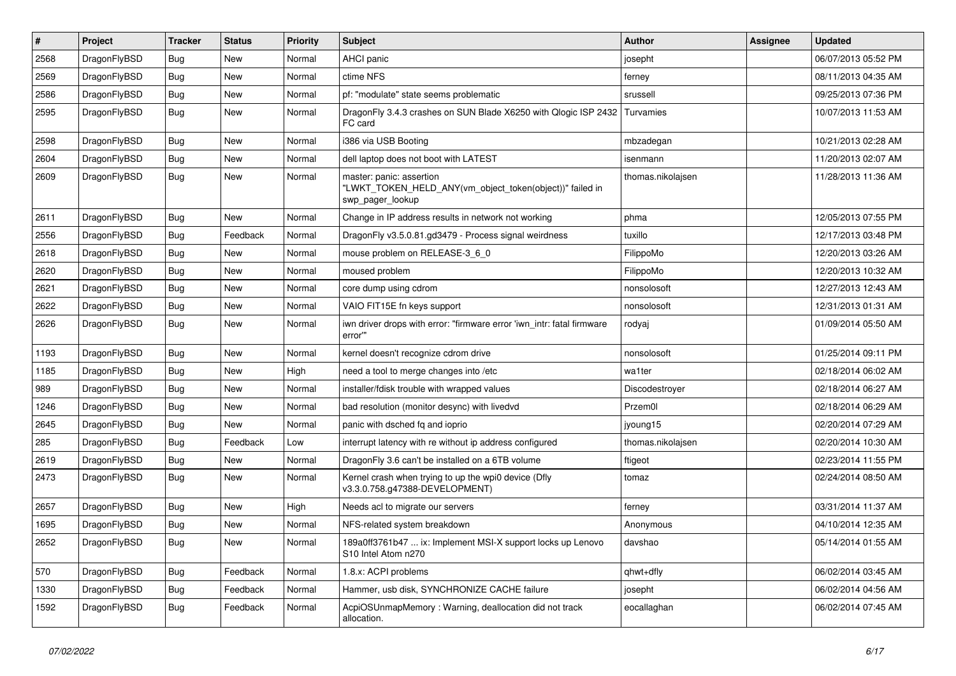| $\pmb{\#}$ | Project      | <b>Tracker</b> | <b>Status</b> | <b>Priority</b> | Subject                                                                                                  | Author            | Assignee | <b>Updated</b>      |
|------------|--------------|----------------|---------------|-----------------|----------------------------------------------------------------------------------------------------------|-------------------|----------|---------------------|
| 2568       | DragonFlyBSD | Bug            | <b>New</b>    | Normal          | AHCI panic                                                                                               | josepht           |          | 06/07/2013 05:52 PM |
| 2569       | DragonFlyBSD | Bug            | <b>New</b>    | Normal          | ctime NFS                                                                                                | ferney            |          | 08/11/2013 04:35 AM |
| 2586       | DragonFlyBSD | <b>Bug</b>     | <b>New</b>    | Normal          | pf: "modulate" state seems problematic                                                                   | srussell          |          | 09/25/2013 07:36 PM |
| 2595       | DragonFlyBSD | Bug            | <b>New</b>    | Normal          | DragonFly 3.4.3 crashes on SUN Blade X6250 with Qlogic ISP 2432 Turvamies<br>FC card                     |                   |          | 10/07/2013 11:53 AM |
| 2598       | DragonFlyBSD | <b>Bug</b>     | <b>New</b>    | Normal          | i386 via USB Booting                                                                                     | mbzadegan         |          | 10/21/2013 02:28 AM |
| 2604       | DragonFlyBSD | Bug            | New           | Normal          | dell laptop does not boot with LATEST                                                                    | isenmann          |          | 11/20/2013 02:07 AM |
| 2609       | DragonFlyBSD | Bug            | <b>New</b>    | Normal          | master: panic: assertion<br>"LWKT_TOKEN_HELD_ANY(vm_object_token(object))" failed in<br>swp_pager_lookup | thomas.nikolajsen |          | 11/28/2013 11:36 AM |
| 2611       | DragonFlyBSD | <b>Bug</b>     | <b>New</b>    | Normal          | Change in IP address results in network not working                                                      | phma              |          | 12/05/2013 07:55 PM |
| 2556       | DragonFlyBSD | Bug            | Feedback      | Normal          | DragonFly v3.5.0.81.gd3479 - Process signal weirdness                                                    | tuxillo           |          | 12/17/2013 03:48 PM |
| 2618       | DragonFlyBSD | <b>Bug</b>     | <b>New</b>    | Normal          | mouse problem on RELEASE-3_6_0                                                                           | FilippoMo         |          | 12/20/2013 03:26 AM |
| 2620       | DragonFlyBSD | <b>Bug</b>     | <b>New</b>    | Normal          | moused problem                                                                                           | FilippoMo         |          | 12/20/2013 10:32 AM |
| 2621       | DragonFlyBSD | Bug            | <b>New</b>    | Normal          | core dump using cdrom                                                                                    | nonsolosoft       |          | 12/27/2013 12:43 AM |
| 2622       | DragonFlyBSD | <b>Bug</b>     | <b>New</b>    | Normal          | VAIO FIT15E fn keys support                                                                              | nonsolosoft       |          | 12/31/2013 01:31 AM |
| 2626       | DragonFlyBSD | Bug            | <b>New</b>    | Normal          | iwn driver drops with error: "firmware error 'iwn intr: fatal firmware<br>error""                        | rodyaj            |          | 01/09/2014 05:50 AM |
| 1193       | DragonFlyBSD | <b>Bug</b>     | <b>New</b>    | Normal          | kernel doesn't recognize cdrom drive                                                                     | nonsolosoft       |          | 01/25/2014 09:11 PM |
| 1185       | DragonFlyBSD | Bug            | <b>New</b>    | High            | need a tool to merge changes into /etc                                                                   | wa1ter            |          | 02/18/2014 06:02 AM |
| 989        | DragonFlyBSD | <b>Bug</b>     | <b>New</b>    | Normal          | installer/fdisk trouble with wrapped values                                                              | Discodestroyer    |          | 02/18/2014 06:27 AM |
| 1246       | DragonFlyBSD | Bug            | <b>New</b>    | Normal          | bad resolution (monitor desync) with livedvd                                                             | Przem0l           |          | 02/18/2014 06:29 AM |
| 2645       | DragonFlyBSD | Bug            | <b>New</b>    | Normal          | panic with dsched fq and ioprio                                                                          | jyoung15          |          | 02/20/2014 07:29 AM |
| 285        | DragonFlyBSD | <b>Bug</b>     | Feedback      | Low             | interrupt latency with re without ip address configured                                                  | thomas.nikolajsen |          | 02/20/2014 10:30 AM |
| 2619       | DragonFlyBSD | Bug            | <b>New</b>    | Normal          | DragonFly 3.6 can't be installed on a 6TB volume                                                         | ftigeot           |          | 02/23/2014 11:55 PM |
| 2473       | DragonFlyBSD | <b>Bug</b>     | <b>New</b>    | Normal          | Kernel crash when trying to up the wpi0 device (Dfly<br>v3.3.0.758.g47388-DEVELOPMENT)                   | tomaz             |          | 02/24/2014 08:50 AM |
| 2657       | DragonFlyBSD | Bug            | <b>New</b>    | High            | Needs acl to migrate our servers                                                                         | ferney            |          | 03/31/2014 11:37 AM |
| 1695       | DragonFlyBSD | <b>Bug</b>     | <b>New</b>    | Normal          | NFS-related system breakdown                                                                             | Anonymous         |          | 04/10/2014 12:35 AM |
| 2652       | DragonFlyBSD | Bug            | New           | Normal          | 189a0ff3761b47  ix: Implement MSI-X support locks up Lenovo<br>S10 Intel Atom n270                       | davshao           |          | 05/14/2014 01:55 AM |
| 570        | DragonFlyBSD | <b>Bug</b>     | Feedback      | Normal          | 1.8.x: ACPI problems                                                                                     | qhwt+dfly         |          | 06/02/2014 03:45 AM |
| 1330       | DragonFlyBSD | <b>Bug</b>     | Feedback      | Normal          | Hammer, usb disk, SYNCHRONIZE CACHE failure                                                              | josepht           |          | 06/02/2014 04:56 AM |
| 1592       | DragonFlyBSD | <b>Bug</b>     | Feedback      | Normal          | AcpiOSUnmapMemory: Warning, deallocation did not track<br>allocation.                                    | eocallaghan       |          | 06/02/2014 07:45 AM |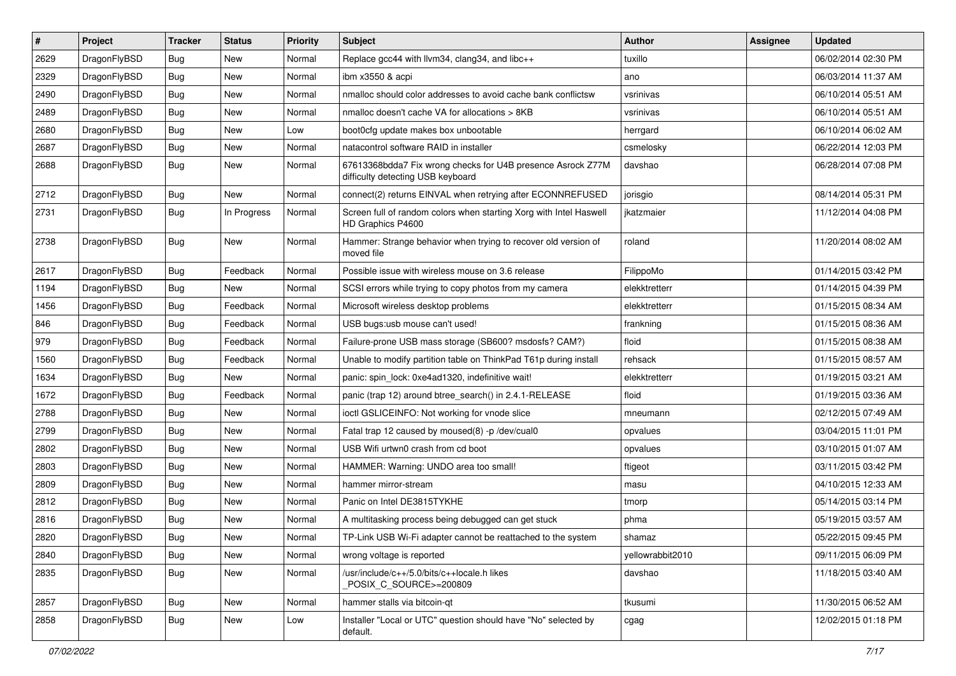| $\vert$ # | Project      | <b>Tracker</b> | <b>Status</b> | <b>Priority</b> | <b>Subject</b>                                                                                   | <b>Author</b>    | Assignee | <b>Updated</b>      |
|-----------|--------------|----------------|---------------|-----------------|--------------------------------------------------------------------------------------------------|------------------|----------|---------------------|
| 2629      | DragonFlyBSD | <b>Bug</b>     | <b>New</b>    | Normal          | Replace gcc44 with llvm34, clang34, and libc++                                                   | tuxillo          |          | 06/02/2014 02:30 PM |
| 2329      | DragonFlyBSD | <b>Bug</b>     | <b>New</b>    | Normal          | ibm x3550 & acpi                                                                                 | ano              |          | 06/03/2014 11:37 AM |
| 2490      | DragonFlyBSD | <b>Bug</b>     | <b>New</b>    | Normal          | nmalloc should color addresses to avoid cache bank conflictsw                                    | vsrinivas        |          | 06/10/2014 05:51 AM |
| 2489      | DragonFlyBSD | Bug            | <b>New</b>    | Normal          | nmalloc doesn't cache VA for allocations > 8KB                                                   | vsrinivas        |          | 06/10/2014 05:51 AM |
| 2680      | DragonFlyBSD | Bug            | <b>New</b>    | Low             | boot0cfg update makes box unbootable                                                             | herrgard         |          | 06/10/2014 06:02 AM |
| 2687      | DragonFlyBSD | <b>Bug</b>     | <b>New</b>    | Normal          | natacontrol software RAID in installer                                                           | csmelosky        |          | 06/22/2014 12:03 PM |
| 2688      | DragonFlyBSD | Bug            | <b>New</b>    | Normal          | 67613368bdda7 Fix wrong checks for U4B presence Asrock Z77M<br>difficulty detecting USB keyboard | davshao          |          | 06/28/2014 07:08 PM |
| 2712      | DragonFlyBSD | Bug            | <b>New</b>    | Normal          | connect(2) returns EINVAL when retrying after ECONNREFUSED                                       | jorisgio         |          | 08/14/2014 05:31 PM |
| 2731      | DragonFlyBSD | Bug            | In Progress   | Normal          | Screen full of random colors when starting Xorg with Intel Haswell<br>HD Graphics P4600          | ikatzmaier       |          | 11/12/2014 04:08 PM |
| 2738      | DragonFlyBSD | Bug            | New           | Normal          | Hammer: Strange behavior when trying to recover old version of<br>moved file                     | roland           |          | 11/20/2014 08:02 AM |
| 2617      | DragonFlyBSD | <b>Bug</b>     | Feedback      | Normal          | Possible issue with wireless mouse on 3.6 release                                                | FilippoMo        |          | 01/14/2015 03:42 PM |
| 1194      | DragonFlyBSD | Bug            | <b>New</b>    | Normal          | SCSI errors while trying to copy photos from my camera                                           | elekktretterr    |          | 01/14/2015 04:39 PM |
| 1456      | DragonFlyBSD | <b>Bug</b>     | Feedback      | Normal          | Microsoft wireless desktop problems                                                              | elekktretterr    |          | 01/15/2015 08:34 AM |
| 846       | DragonFlyBSD | <b>Bug</b>     | Feedback      | Normal          | USB bugs:usb mouse can't used!                                                                   | frankning        |          | 01/15/2015 08:36 AM |
| 979       | DragonFlyBSD | Bug            | Feedback      | Normal          | Failure-prone USB mass storage (SB600? msdosfs? CAM?)                                            | floid            |          | 01/15/2015 08:38 AM |
| 1560      | DragonFlyBSD | <b>Bug</b>     | Feedback      | Normal          | Unable to modify partition table on ThinkPad T61p during install                                 | rehsack          |          | 01/15/2015 08:57 AM |
| 1634      | DragonFlyBSD | Bug            | New           | Normal          | panic: spin lock: 0xe4ad1320, indefinitive wait!                                                 | elekktretterr    |          | 01/19/2015 03:21 AM |
| 1672      | DragonFlyBSD | <b>Bug</b>     | Feedback      | Normal          | panic (trap 12) around btree_search() in 2.4.1-RELEASE                                           | floid            |          | 01/19/2015 03:36 AM |
| 2788      | DragonFlyBSD | Bug            | <b>New</b>    | Normal          | ioctl GSLICEINFO: Not working for vnode slice                                                    | mneumann         |          | 02/12/2015 07:49 AM |
| 2799      | DragonFlyBSD | <b>Bug</b>     | <b>New</b>    | Normal          | Fatal trap 12 caused by moused(8) -p /dev/cual0                                                  | opvalues         |          | 03/04/2015 11:01 PM |
| 2802      | DragonFlyBSD | <b>Bug</b>     | <b>New</b>    | Normal          | USB Wifi urtwn0 crash from cd boot                                                               | opvalues         |          | 03/10/2015 01:07 AM |
| 2803      | DragonFlyBSD | Bug            | <b>New</b>    | Normal          | HAMMER: Warning: UNDO area too small!                                                            | ftigeot          |          | 03/11/2015 03:42 PM |
| 2809      | DragonFlyBSD | Bug            | <b>New</b>    | Normal          | hammer mirror-stream                                                                             | masu             |          | 04/10/2015 12:33 AM |
| 2812      | DragonFlyBSD | <b>Bug</b>     | <b>New</b>    | Normal          | Panic on Intel DE3815TYKHE                                                                       | tmorp            |          | 05/14/2015 03:14 PM |
| 2816      | DragonFlyBSD | Bug            | <b>New</b>    | Normal          | A multitasking process being debugged can get stuck                                              | phma             |          | 05/19/2015 03:57 AM |
| 2820      | DragonFlyBSD | Bug            | New           | Normal          | TP-Link USB Wi-Fi adapter cannot be reattached to the system                                     | shamaz           |          | 05/22/2015 09:45 PM |
| 2840      | DragonFlyBSD | <b>Bug</b>     | <b>New</b>    | Normal          | wrong voltage is reported                                                                        | yellowrabbit2010 |          | 09/11/2015 06:09 PM |
| 2835      | DragonFlyBSD | <b>Bug</b>     | New           | Normal          | /usr/include/c++/5.0/bits/c++locale.h likes<br>POSIX C SOURCE>=200809                            | davshao          |          | 11/18/2015 03:40 AM |
| 2857      | DragonFlyBSD | Bug            | New           | Normal          | hammer stalls via bitcoin-qt                                                                     | tkusumi          |          | 11/30/2015 06:52 AM |
| 2858      | DragonFlyBSD | Bug            | New           | Low             | Installer "Local or UTC" question should have "No" selected by<br>default.                       | cgag             |          | 12/02/2015 01:18 PM |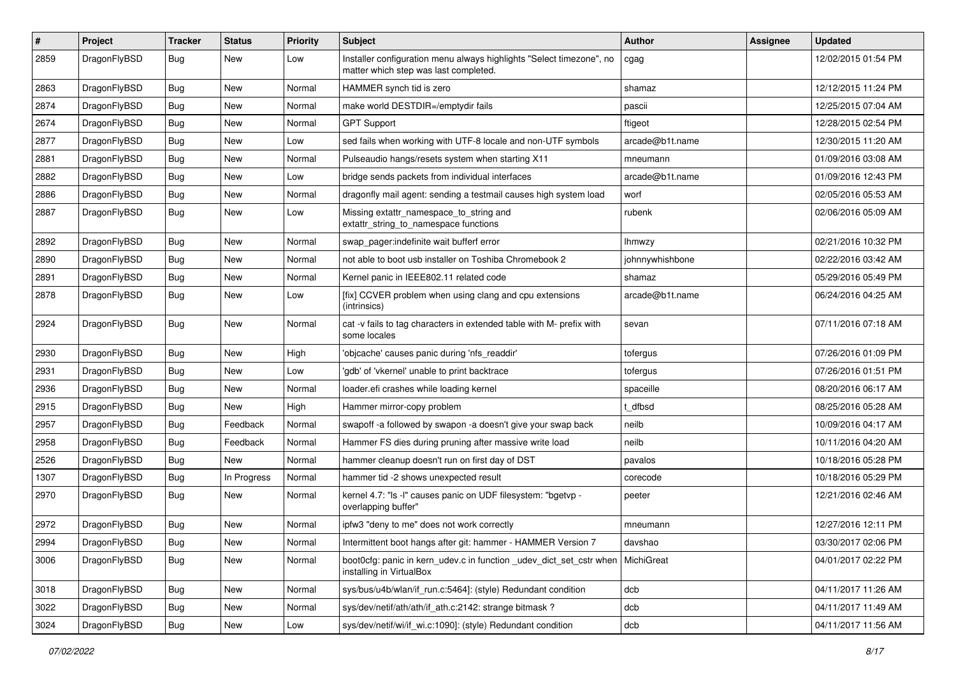| $\#$ | Project      | <b>Tracker</b> | <b>Status</b> | <b>Priority</b> | Subject                                                                                                       | Author          | Assignee | <b>Updated</b>      |
|------|--------------|----------------|---------------|-----------------|---------------------------------------------------------------------------------------------------------------|-----------------|----------|---------------------|
| 2859 | DragonFlyBSD | Bug            | New           | Low             | Installer configuration menu always highlights "Select timezone", no<br>matter which step was last completed. | cgag            |          | 12/02/2015 01:54 PM |
| 2863 | DragonFlyBSD | <b>Bug</b>     | <b>New</b>    | Normal          | HAMMER synch tid is zero                                                                                      | shamaz          |          | 12/12/2015 11:24 PM |
| 2874 | DragonFlyBSD | <b>Bug</b>     | <b>New</b>    | Normal          | make world DESTDIR=/emptydir fails                                                                            | pascii          |          | 12/25/2015 07:04 AM |
| 2674 | DragonFlyBSD | <b>Bug</b>     | <b>New</b>    | Normal          | <b>GPT Support</b>                                                                                            | ftigeot         |          | 12/28/2015 02:54 PM |
| 2877 | DragonFlyBSD | <b>Bug</b>     | New           | Low             | sed fails when working with UTF-8 locale and non-UTF symbols                                                  | arcade@b1t.name |          | 12/30/2015 11:20 AM |
| 2881 | DragonFlyBSD | <b>Bug</b>     | <b>New</b>    | Normal          | Pulseaudio hangs/resets system when starting X11                                                              | mneumann        |          | 01/09/2016 03:08 AM |
| 2882 | DragonFlyBSD | Bug            | New           | Low             | bridge sends packets from individual interfaces                                                               | arcade@b1t.name |          | 01/09/2016 12:43 PM |
| 2886 | DragonFlyBSD | Bug            | New           | Normal          | dragonfly mail agent: sending a testmail causes high system load                                              | worf            |          | 02/05/2016 05:53 AM |
| 2887 | DragonFlyBSD | Bug            | New           | Low             | Missing extattr_namespace_to_string and<br>extattr_string_to_namespace functions                              | rubenk          |          | 02/06/2016 05:09 AM |
| 2892 | DragonFlyBSD | Bug            | <b>New</b>    | Normal          | swap_pager:indefinite wait bufferf error                                                                      | <b>Ihmwzy</b>   |          | 02/21/2016 10:32 PM |
| 2890 | DragonFlyBSD | <b>Bug</b>     | <b>New</b>    | Normal          | not able to boot usb installer on Toshiba Chromebook 2                                                        | johnnywhishbone |          | 02/22/2016 03:42 AM |
| 2891 | DragonFlyBSD | <b>Bug</b>     | New           | Normal          | Kernel panic in IEEE802.11 related code                                                                       | shamaz          |          | 05/29/2016 05:49 PM |
| 2878 | DragonFlyBSD | <b>Bug</b>     | <b>New</b>    | Low             | [fix] CCVER problem when using clang and cpu extensions<br>(intrinsics)                                       | arcade@b1t.name |          | 06/24/2016 04:25 AM |
| 2924 | DragonFlyBSD | Bug            | <b>New</b>    | Normal          | cat -v fails to tag characters in extended table with M- prefix with<br>some locales                          | sevan           |          | 07/11/2016 07:18 AM |
| 2930 | DragonFlyBSD | <b>Bug</b>     | <b>New</b>    | High            | 'objcache' causes panic during 'nfs_readdir'                                                                  | tofergus        |          | 07/26/2016 01:09 PM |
| 2931 | DragonFlyBSD | <b>Bug</b>     | New           | Low             | 'gdb' of 'vkernel' unable to print backtrace                                                                  | tofergus        |          | 07/26/2016 01:51 PM |
| 2936 | DragonFlyBSD | <b>Bug</b>     | <b>New</b>    | Normal          | loader.efi crashes while loading kernel                                                                       | spaceille       |          | 08/20/2016 06:17 AM |
| 2915 | DragonFlyBSD | <b>Bug</b>     | <b>New</b>    | High            | Hammer mirror-copy problem                                                                                    | t dfbsd         |          | 08/25/2016 05:28 AM |
| 2957 | DragonFlyBSD | <b>Bug</b>     | Feedback      | Normal          | swapoff -a followed by swapon -a doesn't give your swap back                                                  | neilb           |          | 10/09/2016 04:17 AM |
| 2958 | DragonFlyBSD | <b>Bug</b>     | Feedback      | Normal          | Hammer FS dies during pruning after massive write load                                                        | neilb           |          | 10/11/2016 04:20 AM |
| 2526 | DragonFlyBSD | <b>Bug</b>     | New           | Normal          | hammer cleanup doesn't run on first day of DST                                                                | pavalos         |          | 10/18/2016 05:28 PM |
| 1307 | DragonFlyBSD | <b>Bug</b>     | In Progress   | Normal          | hammer tid -2 shows unexpected result                                                                         | corecode        |          | 10/18/2016 05:29 PM |
| 2970 | DragonFlyBSD | <b>Bug</b>     | New           | Normal          | kernel 4.7: "Is -I" causes panic on UDF filesystem: "bgetvp -<br>overlapping buffer"                          | peeter          |          | 12/21/2016 02:46 AM |
| 2972 | DragonFlyBSD | Bug            | <b>New</b>    | Normal          | ipfw3 "deny to me" does not work correctly                                                                    | mneumann        |          | 12/27/2016 12:11 PM |
| 2994 | DragonFlyBSD | <b>Bug</b>     | New           | Normal          | Intermittent boot hangs after git: hammer - HAMMER Version 7                                                  | davshao         |          | 03/30/2017 02:06 PM |
| 3006 | DragonFlyBSD | <b>Bug</b>     | New           | Normal          | boot0cfg: panic in kern_udev.c in function _udev_dict_set_cstr when<br>installing in VirtualBox               | MichiGreat      |          | 04/01/2017 02:22 PM |
| 3018 | DragonFlyBSD | <b>Bug</b>     | New           | Normal          | sys/bus/u4b/wlan/if_run.c:5464]: (style) Redundant condition                                                  | dcb             |          | 04/11/2017 11:26 AM |
| 3022 | DragonFlyBSD | <b>Bug</b>     | New           | Normal          | sys/dev/netif/ath/ath/if_ath.c:2142: strange bitmask?                                                         | dcb             |          | 04/11/2017 11:49 AM |
| 3024 | DragonFlyBSD | <b>Bug</b>     | New           | Low             | sys/dev/netif/wi/if_wi.c:1090]: (style) Redundant condition                                                   | dcb             |          | 04/11/2017 11:56 AM |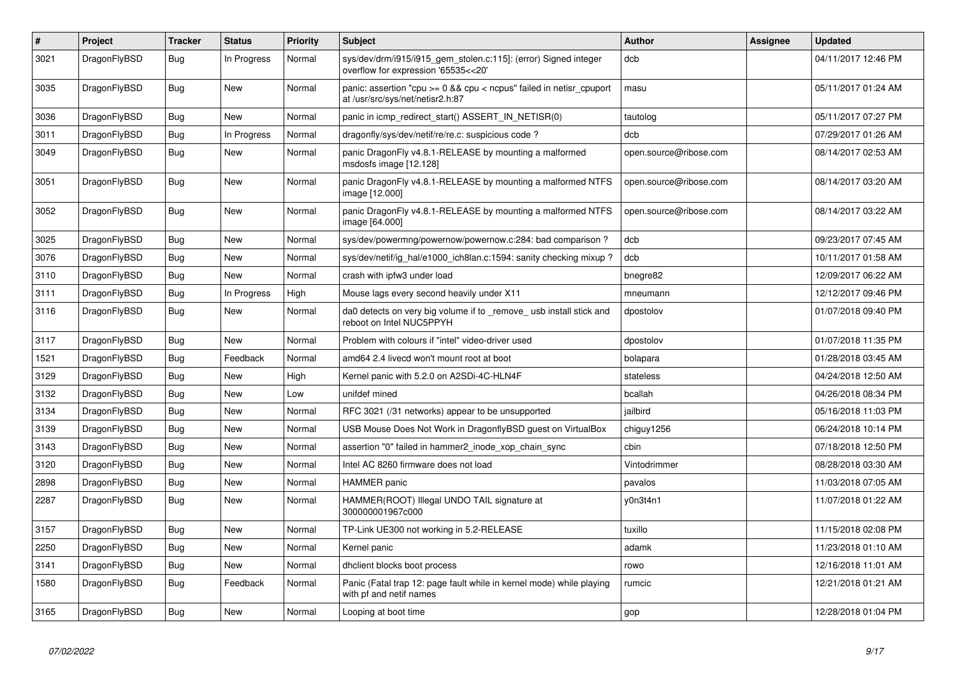| #    | <b>Project</b> | <b>Tracker</b> | <b>Status</b> | <b>Priority</b> | <b>Subject</b>                                                                                            | Author                 | Assignee | <b>Updated</b>      |
|------|----------------|----------------|---------------|-----------------|-----------------------------------------------------------------------------------------------------------|------------------------|----------|---------------------|
| 3021 | DragonFlyBSD   | Bug            | In Progress   | Normal          | sys/dev/drm/i915/i915_gem_stolen.c:115]: (error) Signed integer<br>overflow for expression '65535<<20'    | dcb                    |          | 04/11/2017 12:46 PM |
| 3035 | DragonFlyBSD   | Bug            | <b>New</b>    | Normal          | panic: assertion "cpu $>= 0$ && cpu < ncpus" failed in netisr cpuport<br>at /usr/src/sys/net/netisr2.h:87 | masu                   |          | 05/11/2017 01:24 AM |
| 3036 | DragonFlyBSD   | Bug            | <b>New</b>    | Normal          | panic in icmp_redirect_start() ASSERT_IN_NETISR(0)                                                        | tautolog               |          | 05/11/2017 07:27 PM |
| 3011 | DragonFlyBSD   | Bug            | In Progress   | Normal          | dragonfly/sys/dev/netif/re/re.c: suspicious code ?                                                        | dcb                    |          | 07/29/2017 01:26 AM |
| 3049 | DragonFlyBSD   | Bug            | <b>New</b>    | Normal          | panic DragonFly v4.8.1-RELEASE by mounting a malformed<br>msdosfs image [12.128]                          | open.source@ribose.com |          | 08/14/2017 02:53 AM |
| 3051 | DragonFlyBSD   | <b>Bug</b>     | <b>New</b>    | Normal          | panic DragonFly v4.8.1-RELEASE by mounting a malformed NTFS<br>image [12.000]                             | open.source@ribose.com |          | 08/14/2017 03:20 AM |
| 3052 | DragonFlyBSD   | <b>Bug</b>     | New           | Normal          | panic DragonFly v4.8.1-RELEASE by mounting a malformed NTFS<br>image [64.000]                             | open.source@ribose.com |          | 08/14/2017 03:22 AM |
| 3025 | DragonFlyBSD   | Bug            | New           | Normal          | sys/dev/powermng/powernow/powernow.c:284: bad comparison?                                                 | dcb                    |          | 09/23/2017 07:45 AM |
| 3076 | DragonFlyBSD   | Bug            | New           | Normal          | sys/dev/netif/ig hal/e1000 ich8lan.c:1594: sanity checking mixup?                                         | dcb                    |          | 10/11/2017 01:58 AM |
| 3110 | DragonFlyBSD   | <b>Bug</b>     | New           | Normal          | crash with ipfw3 under load                                                                               | bnegre82               |          | 12/09/2017 06:22 AM |
| 3111 | DragonFlyBSD   | Bug            | In Progress   | High            | Mouse lags every second heavily under X11                                                                 | mneumann               |          | 12/12/2017 09:46 PM |
| 3116 | DragonFlyBSD   | Bug            | New           | Normal          | da0 detects on very big volume if to _remove_usb install stick and<br>reboot on Intel NUC5PPYH            | dpostolov              |          | 01/07/2018 09:40 PM |
| 3117 | DragonFlyBSD   | <b>Bug</b>     | <b>New</b>    | Normal          | Problem with colours if "intel" video-driver used                                                         | dpostolov              |          | 01/07/2018 11:35 PM |
| 1521 | DragonFlyBSD   | Bug            | Feedback      | Normal          | amd64 2.4 livecd won't mount root at boot                                                                 | bolapara               |          | 01/28/2018 03:45 AM |
| 3129 | DragonFlyBSD   | <b>Bug</b>     | <b>New</b>    | High            | Kernel panic with 5.2.0 on A2SDi-4C-HLN4F                                                                 | stateless              |          | 04/24/2018 12:50 AM |
| 3132 | DragonFlyBSD   | <b>Bug</b>     | <b>New</b>    | Low             | unifdef mined                                                                                             | bcallah                |          | 04/26/2018 08:34 PM |
| 3134 | DragonFlyBSD   | <b>Bug</b>     | New           | Normal          | RFC 3021 (/31 networks) appear to be unsupported                                                          | jailbird               |          | 05/16/2018 11:03 PM |
| 3139 | DragonFlyBSD   | Bug            | New           | Normal          | USB Mouse Does Not Work in DragonflyBSD guest on VirtualBox                                               | chiguy1256             |          | 06/24/2018 10:14 PM |
| 3143 | DragonFlyBSD   | <b>Bug</b>     | New           | Normal          | assertion "0" failed in hammer2 inode xop chain sync                                                      | cbin                   |          | 07/18/2018 12:50 PM |
| 3120 | DragonFlyBSD   | <b>Bug</b>     | <b>New</b>    | Normal          | Intel AC 8260 firmware does not load                                                                      | Vintodrimmer           |          | 08/28/2018 03:30 AM |
| 2898 | DragonFlyBSD   | Bug            | New           | Normal          | <b>HAMMER</b> panic                                                                                       | pavalos                |          | 11/03/2018 07:05 AM |
| 2287 | DragonFlyBSD   | Bug            | New           | Normal          | HAMMER(ROOT) Illegal UNDO TAIL signature at<br>300000001967c000                                           | v0n3t4n1               |          | 11/07/2018 01:22 AM |
| 3157 | DragonFlyBSD   | Bug            | New           | Normal          | TP-Link UE300 not working in 5.2-RELEASE                                                                  | tuxillo                |          | 11/15/2018 02:08 PM |
| 2250 | DragonFlyBSD   | <b>Bug</b>     | New           | Normal          | Kernel panic                                                                                              | adamk                  |          | 11/23/2018 01:10 AM |
| 3141 | DragonFlyBSD   | <b>Bug</b>     | <b>New</b>    | Normal          | dhclient blocks boot process                                                                              | rowo                   |          | 12/16/2018 11:01 AM |
| 1580 | DragonFlyBSD   | <b>Bug</b>     | Feedback      | Normal          | Panic (Fatal trap 12: page fault while in kernel mode) while playing<br>with pf and netif names           | rumcic                 |          | 12/21/2018 01:21 AM |
| 3165 | DragonFlyBSD   | <b>Bug</b>     | New           | Normal          | Looping at boot time                                                                                      | gop                    |          | 12/28/2018 01:04 PM |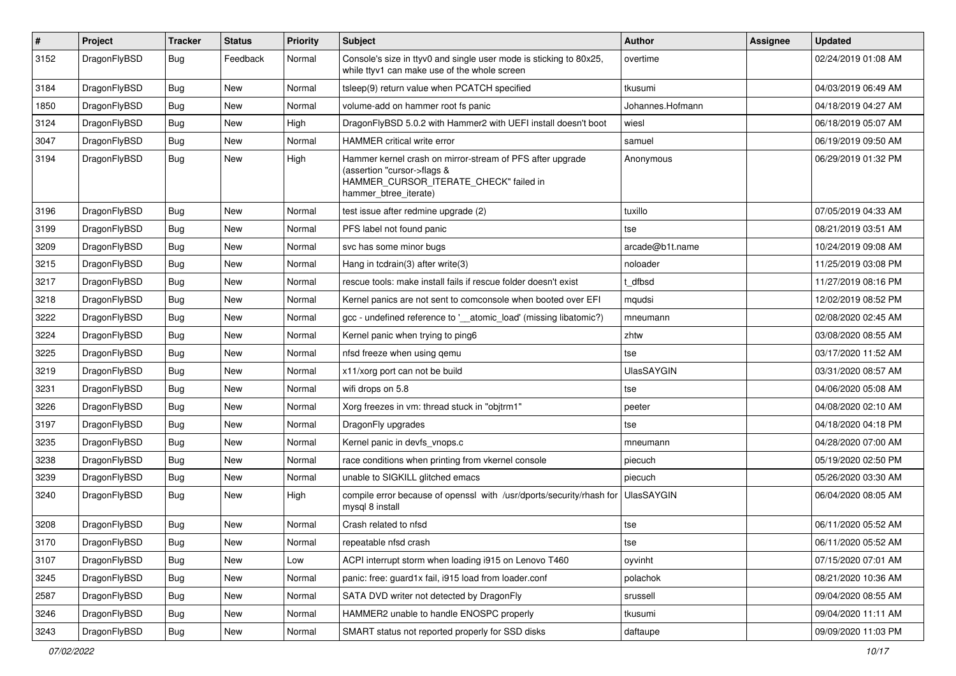| $\vert$ # | Project      | <b>Tracker</b> | <b>Status</b> | <b>Priority</b> | <b>Subject</b>                                                                                                                                              | <b>Author</b>     | Assignee | <b>Updated</b>      |
|-----------|--------------|----------------|---------------|-----------------|-------------------------------------------------------------------------------------------------------------------------------------------------------------|-------------------|----------|---------------------|
| 3152      | DragonFlyBSD | Bug            | Feedback      | Normal          | Console's size in ttyv0 and single user mode is sticking to 80x25,<br>while ttyv1 can make use of the whole screen                                          | overtime          |          | 02/24/2019 01:08 AM |
| 3184      | DragonFlyBSD | <b>Bug</b>     | New           | Normal          | tsleep(9) return value when PCATCH specified                                                                                                                | tkusumi           |          | 04/03/2019 06:49 AM |
| 1850      | DragonFlyBSD | <b>Bug</b>     | <b>New</b>    | Normal          | volume-add on hammer root fs panic                                                                                                                          | Johannes.Hofmann  |          | 04/18/2019 04:27 AM |
| 3124      | DragonFlyBSD | <b>Bug</b>     | <b>New</b>    | High            | DragonFlyBSD 5.0.2 with Hammer2 with UEFI install doesn't boot                                                                                              | wiesl             |          | 06/18/2019 05:07 AM |
| 3047      | DragonFlyBSD | <b>Bug</b>     | <b>New</b>    | Normal          | <b>HAMMER critical write error</b>                                                                                                                          | samuel            |          | 06/19/2019 09:50 AM |
| 3194      | DragonFlyBSD | Bug            | <b>New</b>    | High            | Hammer kernel crash on mirror-stream of PFS after upgrade<br>(assertion "cursor->flags &<br>HAMMER_CURSOR_ITERATE_CHECK" failed in<br>hammer_btree_iterate) | Anonymous         |          | 06/29/2019 01:32 PM |
| 3196      | DragonFlyBSD | Bug            | <b>New</b>    | Normal          | test issue after redmine upgrade (2)                                                                                                                        | tuxillo           |          | 07/05/2019 04:33 AM |
| 3199      | DragonFlyBSD | Bug            | <b>New</b>    | Normal          | PFS label not found panic                                                                                                                                   | tse               |          | 08/21/2019 03:51 AM |
| 3209      | DragonFlyBSD | Bug            | <b>New</b>    | Normal          | svc has some minor bugs                                                                                                                                     | arcade@b1t.name   |          | 10/24/2019 09:08 AM |
| 3215      | DragonFlyBSD | <b>Bug</b>     | New           | Normal          | Hang in tcdrain(3) after write(3)                                                                                                                           | noloader          |          | 11/25/2019 03:08 PM |
| 3217      | DragonFlyBSD | Bug            | <b>New</b>    | Normal          | rescue tools: make install fails if rescue folder doesn't exist                                                                                             | t dfbsd           |          | 11/27/2019 08:16 PM |
| 3218      | DragonFlyBSD | <b>Bug</b>     | <b>New</b>    | Normal          | Kernel panics are not sent to comconsole when booted over EFI                                                                                               | mqudsi            |          | 12/02/2019 08:52 PM |
| 3222      | DragonFlyBSD | <b>Bug</b>     | New           | Normal          | gcc - undefined reference to '__atomic_load' (missing libatomic?)                                                                                           | mneumann          |          | 02/08/2020 02:45 AM |
| 3224      | DragonFlyBSD | Bug            | <b>New</b>    | Normal          | Kernel panic when trying to ping6                                                                                                                           | zhtw              |          | 03/08/2020 08:55 AM |
| 3225      | DragonFlyBSD | <b>Bug</b>     | New           | Normal          | nfsd freeze when using gemu                                                                                                                                 | tse               |          | 03/17/2020 11:52 AM |
| 3219      | DragonFlyBSD | <b>Bug</b>     | <b>New</b>    | Normal          | x11/xorg port can not be build                                                                                                                              | <b>UlasSAYGIN</b> |          | 03/31/2020 08:57 AM |
| 3231      | DragonFlyBSD | <b>Bug</b>     | <b>New</b>    | Normal          | wifi drops on 5.8                                                                                                                                           | tse               |          | 04/06/2020 05:08 AM |
| 3226      | DragonFlyBSD | <b>Bug</b>     | <b>New</b>    | Normal          | Xorg freezes in vm: thread stuck in "objtrm1"                                                                                                               | peeter            |          | 04/08/2020 02:10 AM |
| 3197      | DragonFlyBSD | Bug            | <b>New</b>    | Normal          | DragonFly upgrades                                                                                                                                          | tse               |          | 04/18/2020 04:18 PM |
| 3235      | DragonFlyBSD | Bug            | New           | Normal          | Kernel panic in devfs vnops.c                                                                                                                               | mneumann          |          | 04/28/2020 07:00 AM |
| 3238      | DragonFlyBSD | <b>Bug</b>     | <b>New</b>    | Normal          | race conditions when printing from vkernel console                                                                                                          | piecuch           |          | 05/19/2020 02:50 PM |
| 3239      | DragonFlyBSD | <b>Bug</b>     | <b>New</b>    | Normal          | unable to SIGKILL glitched emacs                                                                                                                            | piecuch           |          | 05/26/2020 03:30 AM |
| 3240      | DragonFlyBSD | Bug            | <b>New</b>    | High            | compile error because of openssl with /usr/dports/security/rhash for<br>mysql 8 install                                                                     | <b>UlasSAYGIN</b> |          | 06/04/2020 08:05 AM |
| 3208      | DragonFlyBSD | <b>Bug</b>     | <b>New</b>    | Normal          | Crash related to nfsd                                                                                                                                       | tse               |          | 06/11/2020 05:52 AM |
| 3170      | DragonFlyBSD | Bug            | New           | Normal          | repeatable nfsd crash                                                                                                                                       | tse               |          | 06/11/2020 05:52 AM |
| 3107      | DragonFlyBSD | <b>Bug</b>     | New           | Low             | ACPI interrupt storm when loading i915 on Lenovo T460                                                                                                       | oyvinht           |          | 07/15/2020 07:01 AM |
| 3245      | DragonFlyBSD | <b>Bug</b>     | New           | Normal          | panic: free: guard1x fail, i915 load from loader.conf                                                                                                       | polachok          |          | 08/21/2020 10:36 AM |
| 2587      | DragonFlyBSD | <b>Bug</b>     | New           | Normal          | SATA DVD writer not detected by DragonFly                                                                                                                   | srussell          |          | 09/04/2020 08:55 AM |
| 3246      | DragonFlyBSD | Bug            | New           | Normal          | HAMMER2 unable to handle ENOSPC properly                                                                                                                    | tkusumi           |          | 09/04/2020 11:11 AM |
| 3243      | DragonFlyBSD | Bug            | New           | Normal          | SMART status not reported properly for SSD disks                                                                                                            | daftaupe          |          | 09/09/2020 11:03 PM |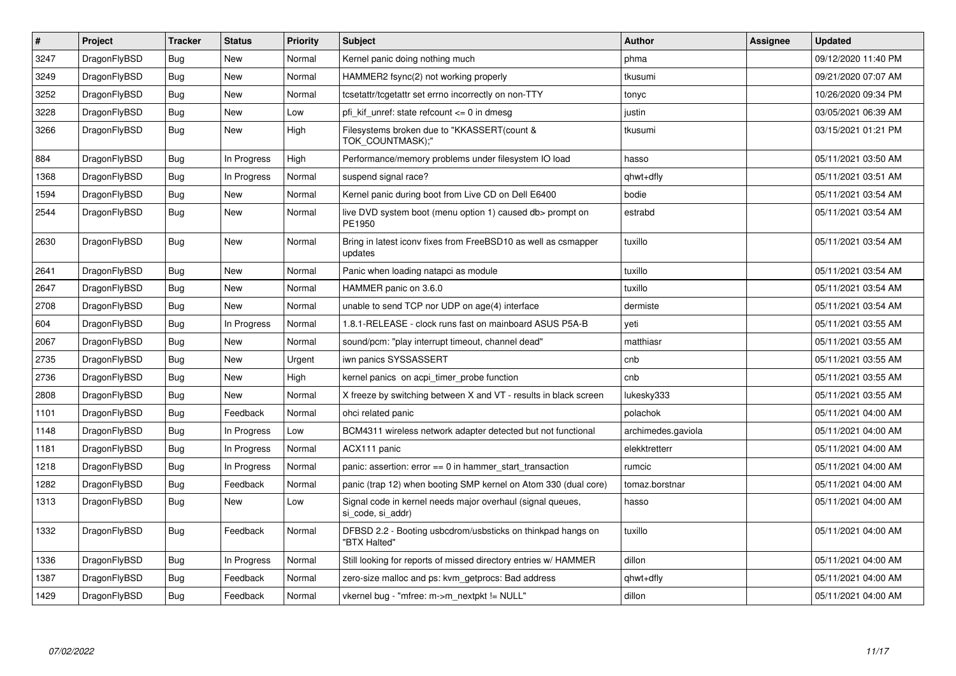| $\#$ | <b>Project</b> | <b>Tracker</b> | <b>Status</b> | <b>Priority</b> | <b>Subject</b>                                                                  | <b>Author</b>      | <b>Assignee</b> | <b>Updated</b>      |
|------|----------------|----------------|---------------|-----------------|---------------------------------------------------------------------------------|--------------------|-----------------|---------------------|
| 3247 | DragonFlyBSD   | Bug            | <b>New</b>    | Normal          | Kernel panic doing nothing much                                                 | phma               |                 | 09/12/2020 11:40 PM |
| 3249 | DragonFlyBSD   | <b>Bug</b>     | <b>New</b>    | Normal          | HAMMER2 fsync(2) not working properly                                           | tkusumi            |                 | 09/21/2020 07:07 AM |
| 3252 | DragonFlyBSD   | Bug            | <b>New</b>    | Normal          | tcsetattr/tcgetattr set errno incorrectly on non-TTY                            | tonyc              |                 | 10/26/2020 09:34 PM |
| 3228 | DragonFlyBSD   | Bug            | <b>New</b>    | Low             | pfi kif unref: state refcount $\leq 0$ in dmesg                                 | justin             |                 | 03/05/2021 06:39 AM |
| 3266 | DragonFlyBSD   | <b>Bug</b>     | <b>New</b>    | High            | Filesystems broken due to "KKASSERT(count &<br>TOK COUNTMASK);"                 | tkusumi            |                 | 03/15/2021 01:21 PM |
| 884  | DragonFlyBSD   | Bug            | In Progress   | High            | Performance/memory problems under filesystem IO load                            | hasso              |                 | 05/11/2021 03:50 AM |
| 1368 | DragonFlyBSD   | <b>Bug</b>     | In Progress   | Normal          | suspend signal race?                                                            | qhwt+dfly          |                 | 05/11/2021 03:51 AM |
| 1594 | DragonFlyBSD   | Bug            | <b>New</b>    | Normal          | Kernel panic during boot from Live CD on Dell E6400                             | bodie              |                 | 05/11/2021 03:54 AM |
| 2544 | DragonFlyBSD   | Bug            | New           | Normal          | live DVD system boot (menu option 1) caused db> prompt on<br>PE1950             | estrabd            |                 | 05/11/2021 03:54 AM |
| 2630 | DragonFlyBSD   | <b>Bug</b>     | <b>New</b>    | Normal          | Bring in latest iconv fixes from FreeBSD10 as well as csmapper<br>updates       | tuxillo            |                 | 05/11/2021 03:54 AM |
| 2641 | DragonFlyBSD   | <b>Bug</b>     | <b>New</b>    | Normal          | Panic when loading natapci as module                                            | tuxillo            |                 | 05/11/2021 03:54 AM |
| 2647 | DragonFlyBSD   | <b>Bug</b>     | <b>New</b>    | Normal          | HAMMER panic on 3.6.0                                                           | tuxillo            |                 | 05/11/2021 03:54 AM |
| 2708 | DragonFlyBSD   | Bug            | <b>New</b>    | Normal          | unable to send TCP nor UDP on age(4) interface                                  | dermiste           |                 | 05/11/2021 03:54 AM |
| 604  | DragonFlyBSD   | Bug            | In Progress   | Normal          | 1.8.1-RELEASE - clock runs fast on mainboard ASUS P5A-B                         | yeti               |                 | 05/11/2021 03:55 AM |
| 2067 | DragonFlyBSD   | <b>Bug</b>     | <b>New</b>    | Normal          | sound/pcm: "play interrupt timeout, channel dead"                               | matthiasr          |                 | 05/11/2021 03:55 AM |
| 2735 | DragonFlyBSD   | <b>Bug</b>     | <b>New</b>    | Urgent          | iwn panics SYSSASSERT                                                           | cnb                |                 | 05/11/2021 03:55 AM |
| 2736 | DragonFlyBSD   | Bug            | <b>New</b>    | High            | kernel panics on acpi timer probe function                                      | cnb                |                 | 05/11/2021 03:55 AM |
| 2808 | DragonFlyBSD   | <b>Bug</b>     | <b>New</b>    | Normal          | X freeze by switching between X and VT - results in black screen                | lukesky333         |                 | 05/11/2021 03:55 AM |
| 1101 | DragonFlyBSD   | Bug            | Feedback      | Normal          | ohci related panic                                                              | polachok           |                 | 05/11/2021 04:00 AM |
| 1148 | DragonFlyBSD   | Bug            | In Progress   | Low             | BCM4311 wireless network adapter detected but not functional                    | archimedes.gaviola |                 | 05/11/2021 04:00 AM |
| 1181 | DragonFlyBSD   | Bug            | In Progress   | Normal          | ACX111 panic                                                                    | elekktretterr      |                 | 05/11/2021 04:00 AM |
| 1218 | DragonFlyBSD   | <b>Bug</b>     | In Progress   | Normal          | panic: assertion: error == 0 in hammer_start_transaction                        | rumcic             |                 | 05/11/2021 04:00 AM |
| 1282 | DragonFlyBSD   | <b>Bug</b>     | Feedback      | Normal          | panic (trap 12) when booting SMP kernel on Atom 330 (dual core)                 | tomaz.borstnar     |                 | 05/11/2021 04:00 AM |
| 1313 | DragonFlyBSD   | <b>Bug</b>     | New           | Low             | Signal code in kernel needs major overhaul (signal queues,<br>si_code, si_addr) | hasso              |                 | 05/11/2021 04:00 AM |
| 1332 | DragonFlyBSD   | Bug            | Feedback      | Normal          | DFBSD 2.2 - Booting usbcdrom/usbsticks on thinkpad hangs on<br>"BTX Halted"     | tuxillo            |                 | 05/11/2021 04:00 AM |
| 1336 | DragonFlyBSD   | <b>Bug</b>     | In Progress   | Normal          | Still looking for reports of missed directory entries w/ HAMMER                 | dillon             |                 | 05/11/2021 04:00 AM |
| 1387 | DragonFlyBSD   | Bug            | Feedback      | Normal          | zero-size malloc and ps: kvm getprocs: Bad address                              | qhwt+dfly          |                 | 05/11/2021 04:00 AM |
| 1429 | DragonFlyBSD   | Bug            | Feedback      | Normal          | vkernel bug - "mfree: m->m_nextpkt != NULL"                                     | dillon             |                 | 05/11/2021 04:00 AM |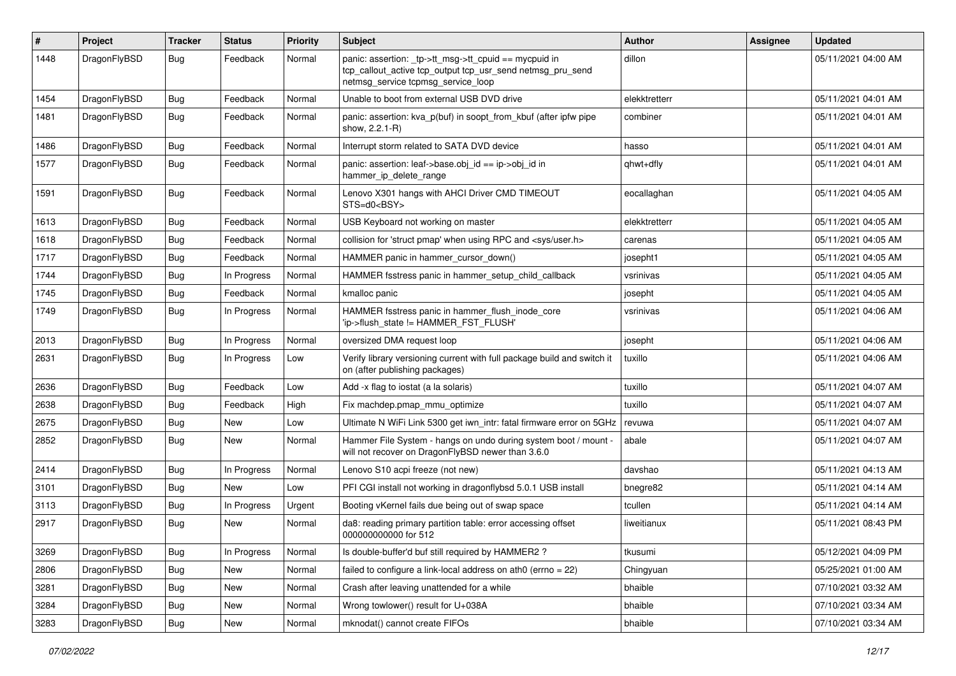| $\vert$ # | Project      | Tracker    | <b>Status</b> | <b>Priority</b> | Subject                                                                                                                                                   | Author        | <b>Assignee</b> | <b>Updated</b>      |
|-----------|--------------|------------|---------------|-----------------|-----------------------------------------------------------------------------------------------------------------------------------------------------------|---------------|-----------------|---------------------|
| 1448      | DragonFlyBSD | Bug        | Feedback      | Normal          | panic: assertion: _tp->tt_msg->tt_cpuid == mycpuid in<br>tcp_callout_active tcp_output tcp_usr_send netmsg_pru_send<br>netmsg_service tcpmsg_service_loop | dillon        |                 | 05/11/2021 04:00 AM |
| 1454      | DragonFlyBSD | <b>Bug</b> | Feedback      | Normal          | Unable to boot from external USB DVD drive                                                                                                                | elekktretterr |                 | 05/11/2021 04:01 AM |
| 1481      | DragonFlyBSD | Bug        | Feedback      | Normal          | panic: assertion: kva_p(buf) in soopt_from_kbuf (after ipfw pipe<br>show, 2.2.1-R)                                                                        | combiner      |                 | 05/11/2021 04:01 AM |
| 1486      | DragonFlyBSD | Bug        | Feedback      | Normal          | Interrupt storm related to SATA DVD device                                                                                                                | hasso         |                 | 05/11/2021 04:01 AM |
| 1577      | DragonFlyBSD | Bug        | Feedback      | Normal          | panic: assertion: leaf->base.obj_id == ip->obj_id in<br>hammer_ip_delete_range                                                                            | qhwt+dfly     |                 | 05/11/2021 04:01 AM |
| 1591      | DragonFlyBSD | Bug        | Feedback      | Normal          | Lenovo X301 hangs with AHCI Driver CMD TIMEOUT<br>STS=d0 <bsy></bsy>                                                                                      | eocallaghan   |                 | 05/11/2021 04:05 AM |
| 1613      | DragonFlyBSD | <b>Bug</b> | Feedback      | Normal          | USB Keyboard not working on master                                                                                                                        | elekktretterr |                 | 05/11/2021 04:05 AM |
| 1618      | DragonFlyBSD | Bug        | Feedback      | Normal          | collision for 'struct pmap' when using RPC and <sys user.h=""></sys>                                                                                      | carenas       |                 | 05/11/2021 04:05 AM |
| 1717      | DragonFlyBSD | <b>Bug</b> | Feedback      | Normal          | HAMMER panic in hammer cursor down()                                                                                                                      | josepht1      |                 | 05/11/2021 04:05 AM |
| 1744      | DragonFlyBSD | Bug        | In Progress   | Normal          | HAMMER fsstress panic in hammer setup child callback                                                                                                      | vsrinivas     |                 | 05/11/2021 04:05 AM |
| 1745      | DragonFlyBSD | <b>Bug</b> | Feedback      | Normal          | kmalloc panic                                                                                                                                             | josepht       |                 | 05/11/2021 04:05 AM |
| 1749      | DragonFlyBSD | Bug        | In Progress   | Normal          | HAMMER fsstress panic in hammer flush inode core<br>'ip->flush_state != HAMMER_FST_FLUSH'                                                                 | vsrinivas     |                 | 05/11/2021 04:06 AM |
| 2013      | DragonFlyBSD | Bug        | In Progress   | Normal          | oversized DMA request loop                                                                                                                                | josepht       |                 | 05/11/2021 04:06 AM |
| 2631      | DragonFlyBSD | Bug        | In Progress   | Low             | Verify library versioning current with full package build and switch it<br>on (after publishing packages)                                                 | tuxillo       |                 | 05/11/2021 04:06 AM |
| 2636      | DragonFlyBSD | Bug        | Feedback      | Low             | Add -x flag to iostat (a la solaris)                                                                                                                      | tuxillo       |                 | 05/11/2021 04:07 AM |
| 2638      | DragonFlyBSD | Bug        | Feedback      | High            | Fix machdep.pmap mmu optimize                                                                                                                             | tuxillo       |                 | 05/11/2021 04:07 AM |
| 2675      | DragonFlyBSD | <b>Bug</b> | New           | Low             | Ultimate N WiFi Link 5300 get iwn_intr: fatal firmware error on 5GHz                                                                                      | revuwa        |                 | 05/11/2021 04:07 AM |
| 2852      | DragonFlyBSD | Bug        | New           | Normal          | Hammer File System - hangs on undo during system boot / mount -<br>will not recover on DragonFlyBSD newer than 3.6.0                                      | abale         |                 | 05/11/2021 04:07 AM |
| 2414      | DragonFlyBSD | Bug        | In Progress   | Normal          | Lenovo S10 acpi freeze (not new)                                                                                                                          | davshao       |                 | 05/11/2021 04:13 AM |
| 3101      | DragonFlyBSD | Bug        | New           | Low             | PFI CGI install not working in dragonflybsd 5.0.1 USB install                                                                                             | bnegre82      |                 | 05/11/2021 04:14 AM |
| 3113      | DragonFlyBSD | <b>Bug</b> | In Progress   | Urgent          | Booting vKernel fails due being out of swap space                                                                                                         | tcullen       |                 | 05/11/2021 04:14 AM |
| 2917      | DragonFlyBSD | <b>Bug</b> | New           | Normal          | da8: reading primary partition table: error accessing offset<br>000000000000 for 512                                                                      | liweitianux   |                 | 05/11/2021 08:43 PM |
| 3269      | DragonFlyBSD | Bug        | In Progress   | Normal          | Is double-buffer'd buf still required by HAMMER2?                                                                                                         | tkusumi       |                 | 05/12/2021 04:09 PM |
| 2806      | DragonFlyBSD | <b>Bug</b> | New           | Normal          | failed to configure a link-local address on ath0 (errno = 22)                                                                                             | Chingyuan     |                 | 05/25/2021 01:00 AM |
| 3281      | DragonFlyBSD | Bug        | New           | Normal          | Crash after leaving unattended for a while                                                                                                                | bhaible       |                 | 07/10/2021 03:32 AM |
| 3284      | DragonFlyBSD | <b>Bug</b> | New           | Normal          | Wrong towlower() result for U+038A                                                                                                                        | bhaible       |                 | 07/10/2021 03:34 AM |
| 3283      | DragonFlyBSD | <b>Bug</b> | New           | Normal          | mknodat() cannot create FIFOs                                                                                                                             | bhaible       |                 | 07/10/2021 03:34 AM |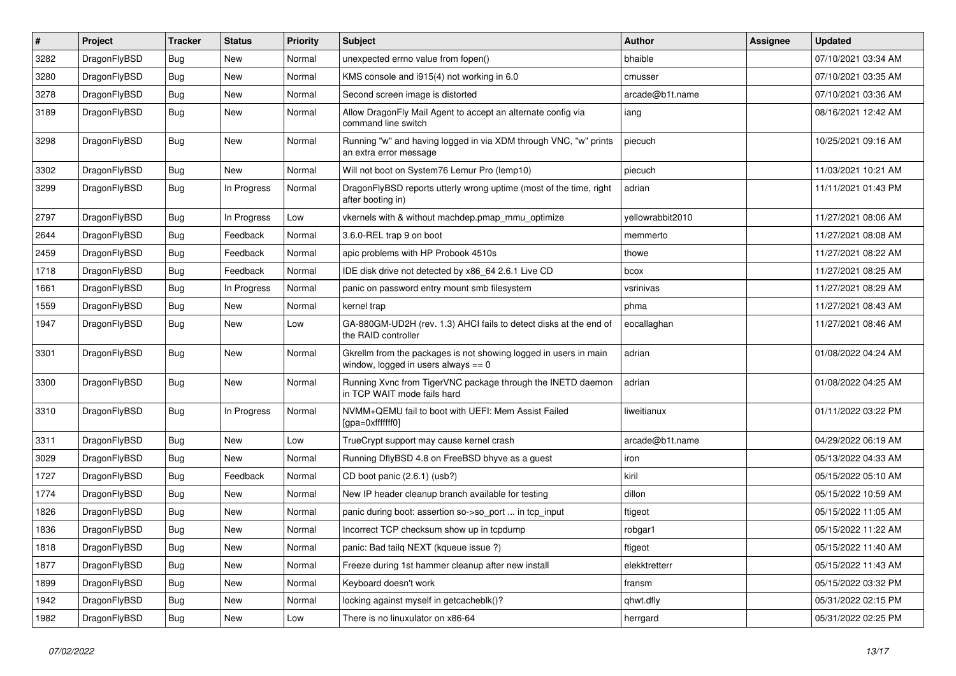| $\pmb{\#}$ | Project      | <b>Tracker</b> | <b>Status</b> | <b>Priority</b> | Subject                                                                                                   | <b>Author</b>    | Assignee | <b>Updated</b>      |
|------------|--------------|----------------|---------------|-----------------|-----------------------------------------------------------------------------------------------------------|------------------|----------|---------------------|
| 3282       | DragonFlyBSD | Bug            | <b>New</b>    | Normal          | unexpected errno value from fopen()                                                                       | bhaible          |          | 07/10/2021 03:34 AM |
| 3280       | DragonFlyBSD | Bug            | <b>New</b>    | Normal          | KMS console and i915(4) not working in 6.0                                                                | cmusser          |          | 07/10/2021 03:35 AM |
| 3278       | DragonFlyBSD | <b>Bug</b>     | New           | Normal          | Second screen image is distorted                                                                          | arcade@b1t.name  |          | 07/10/2021 03:36 AM |
| 3189       | DragonFlyBSD | Bug            | <b>New</b>    | Normal          | Allow DragonFly Mail Agent to accept an alternate config via<br>command line switch                       | iang             |          | 08/16/2021 12:42 AM |
| 3298       | DragonFlyBSD | <b>Bug</b>     | New           | Normal          | Running "w" and having logged in via XDM through VNC, "w" prints<br>an extra error message                | piecuch          |          | 10/25/2021 09:16 AM |
| 3302       | DragonFlyBSD | <b>Bug</b>     | New           | Normal          | Will not boot on System76 Lemur Pro (lemp10)                                                              | piecuch          |          | 11/03/2021 10:21 AM |
| 3299       | DragonFlyBSD | <b>Bug</b>     | In Progress   | Normal          | DragonFlyBSD reports utterly wrong uptime (most of the time, right<br>after booting in)                   | adrian           |          | 11/11/2021 01:43 PM |
| 2797       | DragonFlyBSD | Bug            | In Progress   | Low             | vkernels with & without machdep.pmap_mmu_optimize                                                         | yellowrabbit2010 |          | 11/27/2021 08:06 AM |
| 2644       | DragonFlyBSD | Bug            | Feedback      | Normal          | 3.6.0-REL trap 9 on boot                                                                                  | memmerto         |          | 11/27/2021 08:08 AM |
| 2459       | DragonFlyBSD | Bug            | Feedback      | Normal          | apic problems with HP Probook 4510s                                                                       | thowe            |          | 11/27/2021 08:22 AM |
| 1718       | DragonFlyBSD | <b>Bug</b>     | Feedback      | Normal          | IDE disk drive not detected by x86 64 2.6.1 Live CD                                                       | bcox             |          | 11/27/2021 08:25 AM |
| 1661       | DragonFlyBSD | Bug            | In Progress   | Normal          | panic on password entry mount smb filesystem                                                              | vsrinivas        |          | 11/27/2021 08:29 AM |
| 1559       | DragonFlyBSD | <b>Bug</b>     | <b>New</b>    | Normal          | kernel trap                                                                                               | phma             |          | 11/27/2021 08:43 AM |
| 1947       | DragonFlyBSD | Bug            | <b>New</b>    | Low             | GA-880GM-UD2H (rev. 1.3) AHCI fails to detect disks at the end of<br>the RAID controller                  | eocallaghan      |          | 11/27/2021 08:46 AM |
| 3301       | DragonFlyBSD | <b>Bug</b>     | New           | Normal          | Gkrellm from the packages is not showing logged in users in main<br>window, logged in users always $== 0$ | adrian           |          | 01/08/2022 04:24 AM |
| 3300       | DragonFlyBSD | <b>Bug</b>     | New           | Normal          | Running Xvnc from TigerVNC package through the INETD daemon<br>in TCP WAIT mode fails hard                | adrian           |          | 01/08/2022 04:25 AM |
| 3310       | DragonFlyBSD | <b>Bug</b>     | In Progress   | Normal          | NVMM+QEMU fail to boot with UEFI: Mem Assist Failed<br>[gpa=0xfffffff0]                                   | liweitianux      |          | 01/11/2022 03:22 PM |
| 3311       | DragonFlyBSD | <b>Bug</b>     | New           | Low             | TrueCrypt support may cause kernel crash                                                                  | arcade@b1t.name  |          | 04/29/2022 06:19 AM |
| 3029       | DragonFlyBSD | <b>Bug</b>     | <b>New</b>    | Normal          | Running DflyBSD 4.8 on FreeBSD bhyve as a guest                                                           | iron             |          | 05/13/2022 04:33 AM |
| 1727       | DragonFlyBSD | <b>Bug</b>     | Feedback      | Normal          | CD boot panic (2.6.1) (usb?)                                                                              | kiril            |          | 05/15/2022 05:10 AM |
| 1774       | DragonFlyBSD | Bug            | <b>New</b>    | Normal          | New IP header cleanup branch available for testing                                                        | dillon           |          | 05/15/2022 10:59 AM |
| 1826       | DragonFlyBSD | Bug            | <b>New</b>    | Normal          | panic during boot: assertion so->so_port  in tcp_input                                                    | ftigeot          |          | 05/15/2022 11:05 AM |
| 1836       | DragonFlyBSD | <b>Bug</b>     | New           | Normal          | Incorrect TCP checksum show up in tcpdump                                                                 | robgar1          |          | 05/15/2022 11:22 AM |
| 1818       | DragonFlyBSD | Bug            | New           | Normal          | panic: Bad tailq NEXT (kqueue issue ?)                                                                    | ftigeot          |          | 05/15/2022 11:40 AM |
| 1877       | DragonFlyBSD | <b>Bug</b>     | New           | Normal          | Freeze during 1st hammer cleanup after new install                                                        | elekktretterr    |          | 05/15/2022 11:43 AM |
| 1899       | DragonFlyBSD | <b>Bug</b>     | <b>New</b>    | Normal          | Keyboard doesn't work                                                                                     | fransm           |          | 05/15/2022 03:32 PM |
| 1942       | DragonFlyBSD | <b>Bug</b>     | New           | Normal          | locking against myself in getcacheblk()?                                                                  | qhwt.dfly        |          | 05/31/2022 02:15 PM |
| 1982       | DragonFlyBSD | Bug            | New           | Low             | There is no linuxulator on x86-64                                                                         | herrgard         |          | 05/31/2022 02:25 PM |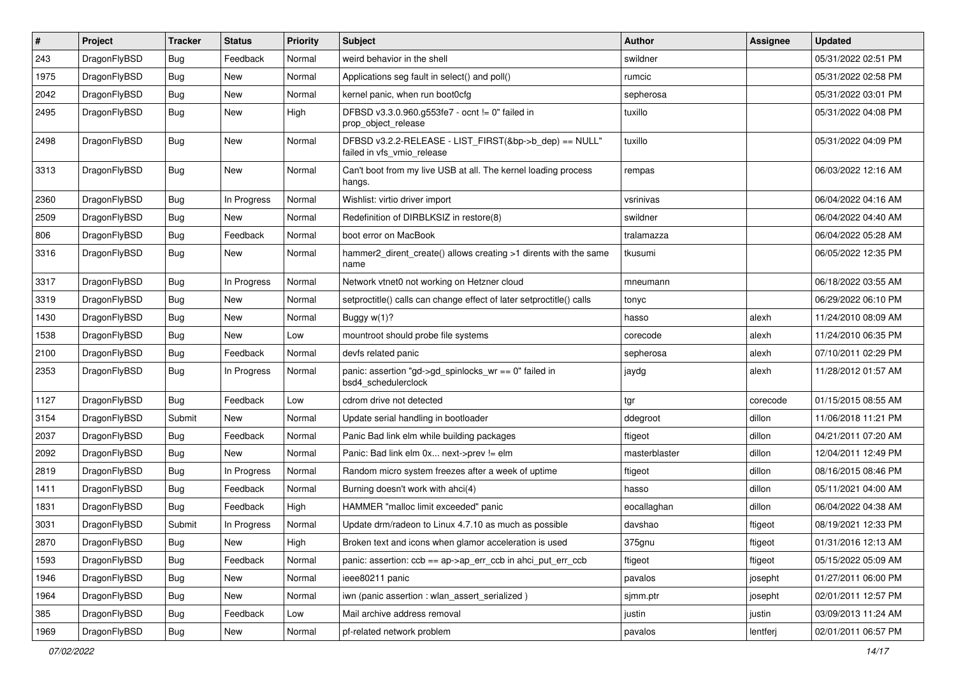| $\sharp$ | Project      | <b>Tracker</b> | <b>Status</b> | <b>Priority</b> | Subject                                                                              | <b>Author</b> | Assignee | <b>Updated</b>      |
|----------|--------------|----------------|---------------|-----------------|--------------------------------------------------------------------------------------|---------------|----------|---------------------|
| 243      | DragonFlyBSD | <b>Bug</b>     | Feedback      | Normal          | weird behavior in the shell                                                          | swildner      |          | 05/31/2022 02:51 PM |
| 1975     | DragonFlyBSD | <b>Bug</b>     | New           | Normal          | Applications seg fault in select() and poll()                                        | rumcic        |          | 05/31/2022 02:58 PM |
| 2042     | DragonFlyBSD | <b>Bug</b>     | New           | Normal          | kernel panic, when run boot0cfg                                                      | sepherosa     |          | 05/31/2022 03:01 PM |
| 2495     | DragonFlyBSD | <b>Bug</b>     | New           | High            | DFBSD v3.3.0.960.g553fe7 - ocnt != 0" failed in<br>prop_object_release               | tuxillo       |          | 05/31/2022 04:08 PM |
| 2498     | DragonFlyBSD | <b>Bug</b>     | New           | Normal          | DFBSD v3.2.2-RELEASE - LIST_FIRST(&bp->b_dep) == NULL"<br>failed in vfs_vmio_release | tuxillo       |          | 05/31/2022 04:09 PM |
| 3313     | DragonFlyBSD | <b>Bug</b>     | New           | Normal          | Can't boot from my live USB at all. The kernel loading process<br>hangs.             | rempas        |          | 06/03/2022 12:16 AM |
| 2360     | DragonFlyBSD | <b>Bug</b>     | In Progress   | Normal          | Wishlist: virtio driver import                                                       | vsrinivas     |          | 06/04/2022 04:16 AM |
| 2509     | DragonFlyBSD | <b>Bug</b>     | New           | Normal          | Redefinition of DIRBLKSIZ in restore(8)                                              | swildner      |          | 06/04/2022 04:40 AM |
| 806      | DragonFlyBSD | <b>Bug</b>     | Feedback      | Normal          | boot error on MacBook                                                                | tralamazza    |          | 06/04/2022 05:28 AM |
| 3316     | DragonFlyBSD | <b>Bug</b>     | New           | Normal          | hammer2_dirent_create() allows creating >1 dirents with the same<br>name             | tkusumi       |          | 06/05/2022 12:35 PM |
| 3317     | DragonFlyBSD | <b>Bug</b>     | In Progress   | Normal          | Network vtnet0 not working on Hetzner cloud                                          | mneumann      |          | 06/18/2022 03:55 AM |
| 3319     | DragonFlyBSD | <b>Bug</b>     | New           | Normal          | setproctitle() calls can change effect of later setproctitle() calls                 | tonyc         |          | 06/29/2022 06:10 PM |
| 1430     | DragonFlyBSD | <b>Bug</b>     | New           | Normal          | Buggy w(1)?                                                                          | hasso         | alexh    | 11/24/2010 08:09 AM |
| 1538     | DragonFlyBSD | <b>Bug</b>     | New           | Low             | mountroot should probe file systems                                                  | corecode      | alexh    | 11/24/2010 06:35 PM |
| 2100     | DragonFlyBSD | <b>Bug</b>     | Feedback      | Normal          | devfs related panic                                                                  | sepherosa     | alexh    | 07/10/2011 02:29 PM |
| 2353     | DragonFlyBSD | <b>Bug</b>     | In Progress   | Normal          | panic: assertion "gd->gd_spinlocks_wr == 0" failed in<br>bsd4_schedulerclock         | jaydg         | alexh    | 11/28/2012 01:57 AM |
| 1127     | DragonFlyBSD | <b>Bug</b>     | Feedback      | Low             | cdrom drive not detected                                                             | tgr           | corecode | 01/15/2015 08:55 AM |
| 3154     | DragonFlyBSD | Submit         | New           | Normal          | Update serial handling in bootloader                                                 | ddegroot      | dillon   | 11/06/2018 11:21 PM |
| 2037     | DragonFlyBSD | <b>Bug</b>     | Feedback      | Normal          | Panic Bad link elm while building packages                                           | ftigeot       | dillon   | 04/21/2011 07:20 AM |
| 2092     | DragonFlyBSD | <b>Bug</b>     | New           | Normal          | Panic: Bad link elm 0x next->prev != elm                                             | masterblaster | dillon   | 12/04/2011 12:49 PM |
| 2819     | DragonFlyBSD | <b>Bug</b>     | In Progress   | Normal          | Random micro system freezes after a week of uptime                                   | ftigeot       | dillon   | 08/16/2015 08:46 PM |
| 1411     | DragonFlyBSD | <b>Bug</b>     | Feedback      | Normal          | Burning doesn't work with ahci(4)                                                    | hasso         | dillon   | 05/11/2021 04:00 AM |
| 1831     | DragonFlyBSD | <b>Bug</b>     | Feedback      | High            | HAMMER "malloc limit exceeded" panic                                                 | eocallaghan   | dillon   | 06/04/2022 04:38 AM |
| 3031     | DragonFlyBSD | Submit         | In Progress   | Normal          | Update drm/radeon to Linux 4.7.10 as much as possible                                | davshao       | ftigeot  | 08/19/2021 12:33 PM |
| 2870     | DragonFlyBSD | <b>Bug</b>     | New           | High            | Broken text and icons when glamor acceleration is used                               | 375gnu        | ftigeot  | 01/31/2016 12:13 AM |
| 1593     | DragonFlyBSD | <b>Bug</b>     | Feedback      | Normal          | panic: assertion: $ccb == ap$ ap- $\geq$ err $ccb$ in ahci put err $ccb$             | ftigeot       | ftigeot  | 05/15/2022 05:09 AM |
| 1946     | DragonFlyBSD | <b>Bug</b>     | New           | Normal          | ieee80211 panic                                                                      | pavalos       | josepht  | 01/27/2011 06:00 PM |
| 1964     | DragonFlyBSD | <b>Bug</b>     | New           | Normal          | iwn (panic assertion : wlan assert serialized)                                       | sjmm.ptr      | josepht  | 02/01/2011 12:57 PM |
| 385      | DragonFlyBSD | <b>Bug</b>     | Feedback      | Low             | Mail archive address removal                                                         | justin        | justin   | 03/09/2013 11:24 AM |
| 1969     | DragonFlyBSD | <b>Bug</b>     | New           | Normal          | pf-related network problem                                                           | pavalos       | lentferj | 02/01/2011 06:57 PM |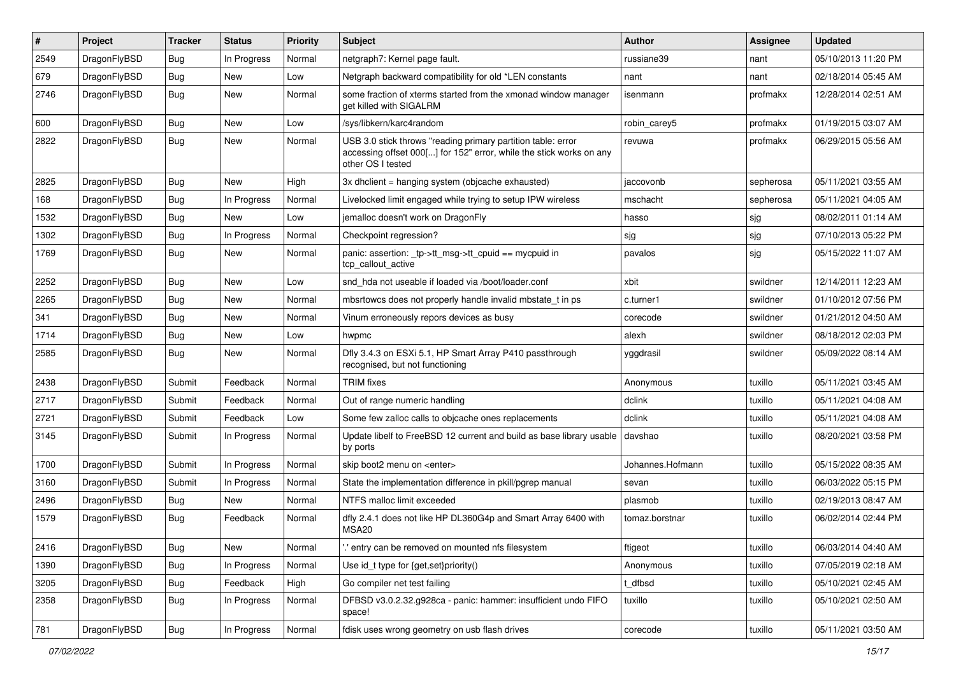| #    | Project      | <b>Tracker</b> | <b>Status</b> | <b>Priority</b> | <b>Subject</b>                                                                                                                                           | <b>Author</b>    | Assignee  | <b>Updated</b>      |
|------|--------------|----------------|---------------|-----------------|----------------------------------------------------------------------------------------------------------------------------------------------------------|------------------|-----------|---------------------|
| 2549 | DragonFlyBSD | <b>Bug</b>     | In Progress   | Normal          | netgraph7: Kernel page fault.                                                                                                                            | russiane39       | nant      | 05/10/2013 11:20 PM |
| 679  | DragonFlyBSD | <b>Bug</b>     | <b>New</b>    | Low             | Netgraph backward compatibility for old *LEN constants                                                                                                   | nant             | nant      | 02/18/2014 05:45 AM |
| 2746 | DragonFlyBSD | Bug            | New           | Normal          | some fraction of xterms started from the xmonad window manager<br>get killed with SIGALRM                                                                | isenmann         | profmakx  | 12/28/2014 02:51 AM |
| 600  | DragonFlyBSD | Bug            | New           | Low             | /sys/libkern/karc4random                                                                                                                                 | robin carey5     | profmakx  | 01/19/2015 03:07 AM |
| 2822 | DragonFlyBSD | Bug            | New           | Normal          | USB 3.0 stick throws "reading primary partition table: error<br>accessing offset 000[] for 152" error, while the stick works on any<br>other OS I tested | revuwa           | profmakx  | 06/29/2015 05:56 AM |
| 2825 | DragonFlyBSD | Bug            | <b>New</b>    | High            | 3x dhclient = hanging system (objcache exhausted)                                                                                                        | jaccovonb        | sepherosa | 05/11/2021 03:55 AM |
| 168  | DragonFlyBSD | Bug            | In Progress   | Normal          | Livelocked limit engaged while trying to setup IPW wireless                                                                                              | mschacht         | sepherosa | 05/11/2021 04:05 AM |
| 1532 | DragonFlyBSD | <b>Bug</b>     | <b>New</b>    | Low             | jemalloc doesn't work on DragonFly                                                                                                                       | hasso            | sjg       | 08/02/2011 01:14 AM |
| 1302 | DragonFlyBSD | <b>Bug</b>     | In Progress   | Normal          | Checkpoint regression?                                                                                                                                   | sjg              | sjg       | 07/10/2013 05:22 PM |
| 1769 | DragonFlyBSD | Bug            | New           | Normal          | panic: assertion: _tp->tt_msg->tt_cpuid == mycpuid in<br>tcp callout active                                                                              | pavalos          | sjg       | 05/15/2022 11:07 AM |
| 2252 | DragonFlyBSD | Bug            | <b>New</b>    | Low             | snd hda not useable if loaded via /boot/loader.conf                                                                                                      | xbit             | swildner  | 12/14/2011 12:23 AM |
| 2265 | DragonFlyBSD | <b>Bug</b>     | New           | Normal          | mbsrtowcs does not properly handle invalid mbstate_t in ps                                                                                               | c.turner1        | swildner  | 01/10/2012 07:56 PM |
| 341  | DragonFlyBSD | <b>Bug</b>     | New           | Normal          | Vinum erroneously repors devices as busy                                                                                                                 | corecode         | swildner  | 01/21/2012 04:50 AM |
| 1714 | DragonFlyBSD | Bug            | <b>New</b>    | Low             | hwpmc                                                                                                                                                    | alexh            | swildner  | 08/18/2012 02:03 PM |
| 2585 | DragonFlyBSD | <b>Bug</b>     | New           | Normal          | Dfly 3.4.3 on ESXi 5.1, HP Smart Array P410 passthrough<br>recognised, but not functioning                                                               | yggdrasil        | swildner  | 05/09/2022 08:14 AM |
| 2438 | DragonFlyBSD | Submit         | Feedback      | Normal          | <b>TRIM</b> fixes                                                                                                                                        | Anonymous        | tuxillo   | 05/11/2021 03:45 AM |
| 2717 | DragonFlyBSD | Submit         | Feedback      | Normal          | Out of range numeric handling                                                                                                                            | dclink           | tuxillo   | 05/11/2021 04:08 AM |
| 2721 | DragonFlyBSD | Submit         | Feedback      | Low             | Some few zalloc calls to objcache ones replacements                                                                                                      | dclink           | tuxillo   | 05/11/2021 04:08 AM |
| 3145 | DragonFlyBSD | Submit         | In Progress   | Normal          | Update libelf to FreeBSD 12 current and build as base library usable<br>by ports                                                                         | davshao          | tuxillo   | 08/20/2021 03:58 PM |
| 1700 | DragonFlyBSD | Submit         | In Progress   | Normal          | skip boot2 menu on <enter></enter>                                                                                                                       | Johannes.Hofmann | tuxillo   | 05/15/2022 08:35 AM |
| 3160 | DragonFlyBSD | Submit         | In Progress   | Normal          | State the implementation difference in pkill/pgrep manual                                                                                                | sevan            | tuxillo   | 06/03/2022 05:15 PM |
| 2496 | DragonFlyBSD | <b>Bug</b>     | New           | Normal          | NTFS malloc limit exceeded                                                                                                                               | plasmob          | tuxillo   | 02/19/2013 08:47 AM |
| 1579 | DragonFlyBSD | Bug            | Feedback      | Normal          | dfly 2.4.1 does not like HP DL360G4p and Smart Array 6400 with<br>MSA20                                                                                  | tomaz.borstnar   | tuxillo   | 06/02/2014 02:44 PM |
| 2416 | DragonFlyBSD | <b>Bug</b>     | New           | Normal          | ".' entry can be removed on mounted nfs filesystem                                                                                                       | ftigeot          | tuxillo   | 06/03/2014 04:40 AM |
| 1390 | DragonFlyBSD | <b>Bug</b>     | In Progress   | Normal          | Use id_t type for {get,set}priority()                                                                                                                    | Anonymous        | tuxillo   | 07/05/2019 02:18 AM |
| 3205 | DragonFlyBSD | <b>Bug</b>     | Feedback      | High            | Go compiler net test failing                                                                                                                             | t_dfbsd          | tuxillo   | 05/10/2021 02:45 AM |
| 2358 | DragonFlyBSD | <b>Bug</b>     | In Progress   | Normal          | DFBSD v3.0.2.32.g928ca - panic: hammer: insufficient undo FIFO<br>space!                                                                                 | tuxillo          | tuxillo   | 05/10/2021 02:50 AM |
| 781  | DragonFlyBSD | Bug            | In Progress   | Normal          | fdisk uses wrong geometry on usb flash drives                                                                                                            | corecode         | tuxillo   | 05/11/2021 03:50 AM |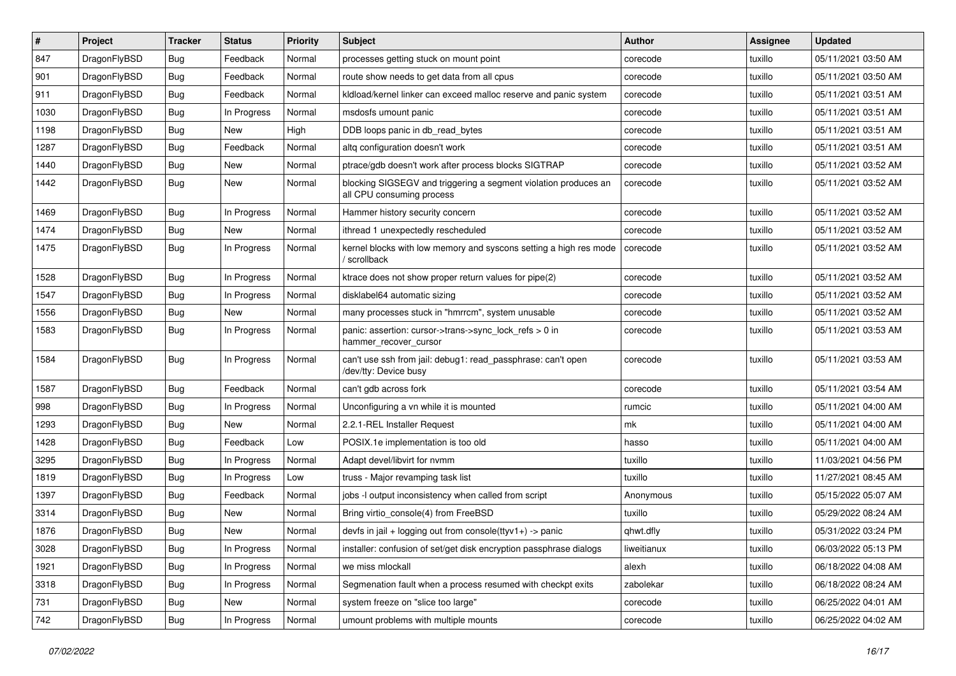| $\sharp$ | Project      | <b>Tracker</b> | <b>Status</b> | <b>Priority</b> | Subject                                                                                      | <b>Author</b> | Assignee | <b>Updated</b>      |
|----------|--------------|----------------|---------------|-----------------|----------------------------------------------------------------------------------------------|---------------|----------|---------------------|
| 847      | DragonFlyBSD | <b>Bug</b>     | Feedback      | Normal          | processes getting stuck on mount point                                                       | corecode      | tuxillo  | 05/11/2021 03:50 AM |
| 901      | DragonFlyBSD | Bug            | Feedback      | Normal          | route show needs to get data from all cpus                                                   | corecode      | tuxillo  | 05/11/2021 03:50 AM |
| 911      | DragonFlyBSD | <b>Bug</b>     | Feedback      | Normal          | kldload/kernel linker can exceed malloc reserve and panic system                             | corecode      | tuxillo  | 05/11/2021 03:51 AM |
| 1030     | DragonFlyBSD | <b>Bug</b>     | In Progress   | Normal          | msdosfs umount panic                                                                         | corecode      | tuxillo  | 05/11/2021 03:51 AM |
| 1198     | DragonFlyBSD | Bug            | New           | High            | DDB loops panic in db read bytes                                                             | corecode      | tuxillo  | 05/11/2021 03:51 AM |
| 1287     | DragonFlyBSD | <b>Bug</b>     | Feedback      | Normal          | altg configuration doesn't work                                                              | corecode      | tuxillo  | 05/11/2021 03:51 AM |
| 1440     | DragonFlyBSD | <b>Bug</b>     | New           | Normal          | ptrace/gdb doesn't work after process blocks SIGTRAP                                         | corecode      | tuxillo  | 05/11/2021 03:52 AM |
| 1442     | DragonFlyBSD | <b>Bug</b>     | New           | Normal          | blocking SIGSEGV and triggering a segment violation produces an<br>all CPU consuming process | corecode      | tuxillo  | 05/11/2021 03:52 AM |
| 1469     | DragonFlyBSD | Bug            | In Progress   | Normal          | Hammer history security concern                                                              | corecode      | tuxillo  | 05/11/2021 03:52 AM |
| 1474     | DragonFlyBSD | <b>Bug</b>     | New           | Normal          | ithread 1 unexpectedly rescheduled                                                           | corecode      | tuxillo  | 05/11/2021 03:52 AM |
| 1475     | DragonFlyBSD | <b>Bug</b>     | In Progress   | Normal          | kernel blocks with low memory and syscons setting a high res mode<br>/ scrollback            | corecode      | tuxillo  | 05/11/2021 03:52 AM |
| 1528     | DragonFlyBSD | Bug            | In Progress   | Normal          | ktrace does not show proper return values for pipe(2)                                        | corecode      | tuxillo  | 05/11/2021 03:52 AM |
| 1547     | DragonFlyBSD | <b>Bug</b>     | In Progress   | Normal          | disklabel64 automatic sizing                                                                 | corecode      | tuxillo  | 05/11/2021 03:52 AM |
| 1556     | DragonFlyBSD | <b>Bug</b>     | New           | Normal          | many processes stuck in "hmrrcm", system unusable                                            | corecode      | tuxillo  | 05/11/2021 03:52 AM |
| 1583     | DragonFlyBSD | Bug            | In Progress   | Normal          | panic: assertion: cursor->trans->sync_lock_refs > 0 in<br>hammer_recover_cursor              | corecode      | tuxillo  | 05/11/2021 03:53 AM |
| 1584     | DragonFlyBSD | <b>Bug</b>     | In Progress   | Normal          | can't use ssh from jail: debug1: read_passphrase: can't open<br>/dev/tty: Device busy        | corecode      | tuxillo  | 05/11/2021 03:53 AM |
| 1587     | DragonFlyBSD | Bug            | Feedback      | Normal          | can't gdb across fork                                                                        | corecode      | tuxillo  | 05/11/2021 03:54 AM |
| 998      | DragonFlyBSD | <b>Bug</b>     | In Progress   | Normal          | Unconfiguring a vn while it is mounted                                                       | rumcic        | tuxillo  | 05/11/2021 04:00 AM |
| 1293     | DragonFlyBSD | Bug            | New           | Normal          | 2.2.1-REL Installer Request                                                                  | mk            | tuxillo  | 05/11/2021 04:00 AM |
| 1428     | DragonFlyBSD | <b>Bug</b>     | Feedback      | Low             | POSIX.1e implementation is too old                                                           | hasso         | tuxillo  | 05/11/2021 04:00 AM |
| 3295     | DragonFlyBSD | <b>Bug</b>     | In Progress   | Normal          | Adapt devel/libvirt for nvmm                                                                 | tuxillo       | tuxillo  | 11/03/2021 04:56 PM |
| 1819     | DragonFlyBSD | Bug            | In Progress   | Low             | truss - Major revamping task list                                                            | tuxillo       | tuxillo  | 11/27/2021 08:45 AM |
| 1397     | DragonFlyBSD | <b>Bug</b>     | Feedback      | Normal          | jobs -I output inconsistency when called from script                                         | Anonymous     | tuxillo  | 05/15/2022 05:07 AM |
| 3314     | DragonFlyBSD | Bug            | <b>New</b>    | Normal          | Bring virtio console(4) from FreeBSD                                                         | tuxillo       | tuxillo  | 05/29/2022 08:24 AM |
| 1876     | DragonFlyBSD | <b>Bug</b>     | New           | Normal          | devfs in $ ail + logging$ out from console(ttyv1+) -> panic                                  | qhwt.dfly     | tuxillo  | 05/31/2022 03:24 PM |
| 3028     | DragonFlyBSD | <b>Bug</b>     | In Progress   | Normal          | installer: confusion of set/get disk encryption passphrase dialogs                           | liweitianux   | tuxillo  | 06/03/2022 05:13 PM |
| 1921     | DragonFlyBSD | <b>Bug</b>     | In Progress   | Normal          | we miss mlockall                                                                             | alexh         | tuxillo  | 06/18/2022 04:08 AM |
| 3318     | DragonFlyBSD | <b>Bug</b>     | In Progress   | Normal          | Segmenation fault when a process resumed with checkpt exits                                  | zabolekar     | tuxillo  | 06/18/2022 08:24 AM |
| 731      | DragonFlyBSD | <b>Bug</b>     | New           | Normal          | system freeze on "slice too large"                                                           | corecode      | tuxillo  | 06/25/2022 04:01 AM |
| 742      | DragonFlyBSD | <b>Bug</b>     | In Progress   | Normal          | umount problems with multiple mounts                                                         | corecode      | tuxillo  | 06/25/2022 04:02 AM |